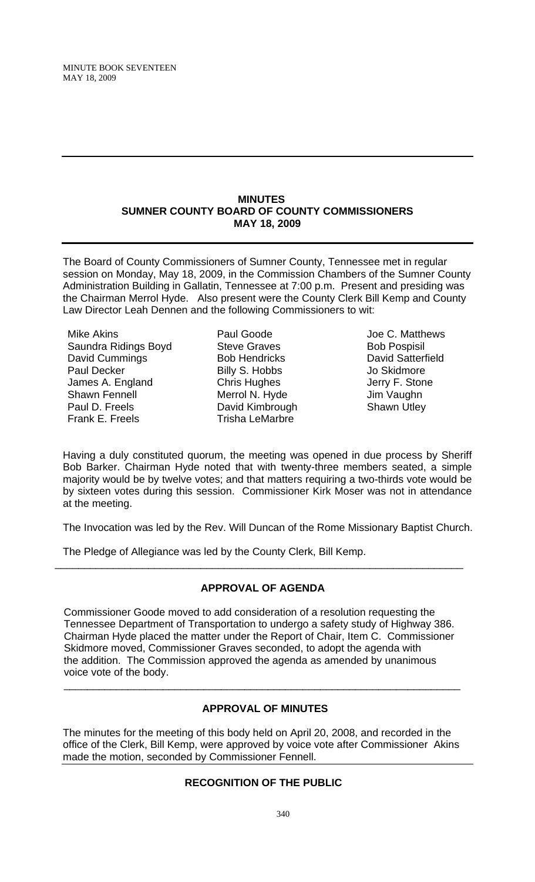MINUTE BOOK SEVENTEEN MAY 18, 2009

#### **MINUTES SUMNER COUNTY BOARD OF COUNTY COMMISSIONERS MAY 18, 2009**

The Board of County Commissioners of Sumner County, Tennessee met in regular session on Monday, May 18, 2009, in the Commission Chambers of the Sumner County Administration Building in Gallatin, Tennessee at 7:00 p.m. Present and presiding was the Chairman Merrol Hyde. Also present were the County Clerk Bill Kemp and County Law Director Leah Dennen and the following Commissioners to wit:

Mike Akins Saundra Ridings Boyd David Cummings Paul Decker James A. England Shawn Fennell Paul D. Freels Frank E. Freels

Paul Goode Steve Graves Bob Hendricks Billy S. Hobbs Chris Hughes Merrol N. Hyde David Kimbrough Trisha LeMarbre

Joe C. Matthews Bob Pospisil David Satterfield Jo Skidmore Jerry F. Stone Jim Vaughn Shawn Utley

Having a duly constituted quorum, the meeting was opened in due process by Sheriff Bob Barker. Chairman Hyde noted that with twenty-three members seated, a simple majority would be by twelve votes; and that matters requiring a two-thirds vote would be by sixteen votes during this session. Commissioner Kirk Moser was not in attendance at the meeting.

The Invocation was led by the Rev. Will Duncan of the Rome Missionary Baptist Church.

The Pledge of Allegiance was led by the County Clerk, Bill Kemp.

# **APPROVAL OF AGENDA**

\_\_\_\_\_\_\_\_\_\_\_\_\_\_\_\_\_\_\_\_\_\_\_\_\_\_\_\_\_\_\_\_\_\_\_\_\_\_\_\_\_\_\_\_\_\_\_\_\_\_\_\_\_\_\_\_\_\_\_\_\_\_\_\_\_\_\_\_\_\_

Commissioner Goode moved to add consideration of a resolution requesting the Tennessee Department of Transportation to undergo a safety study of Highway 386. Chairman Hyde placed the matter under the Report of Chair, Item C. Commissioner Skidmore moved, Commissioner Graves seconded, to adopt the agenda with the addition. The Commission approved the agenda as amended by unanimous voice vote of the body.

 $\overline{\phantom{a}}$  , and the contribution of the contribution of the contribution of the contribution of the contribution of the contribution of the contribution of the contribution of the contribution of the contribution of the

# **APPROVAL OF MINUTES**

The minutes for the meeting of this body held on April 20, 2008, and recorded in the office of the Clerk, Bill Kemp, were approved by voice vote after Commissioner Akins made the motion, seconded by Commissioner Fennell.

# **RECOGNITION OF THE PUBLIC**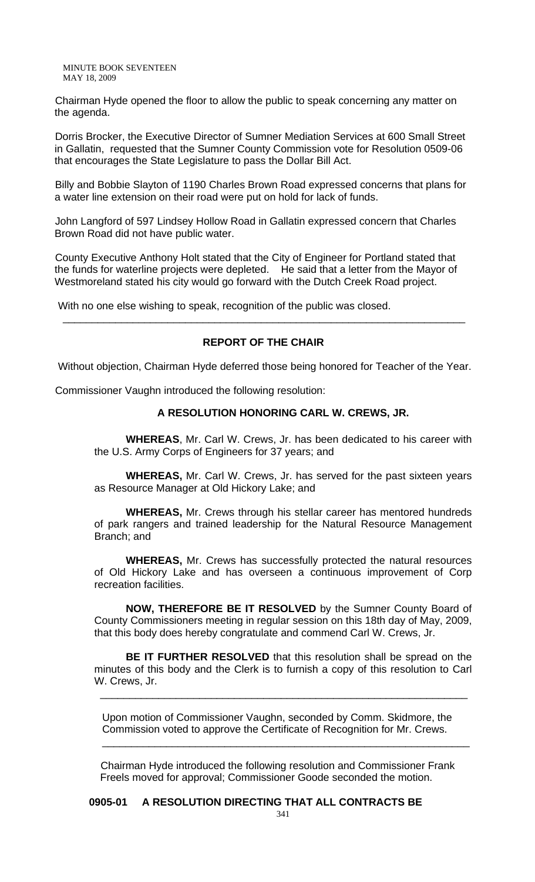MINUTE BOOK SEVENTEEN MAY 18, 2009

Chairman Hyde opened the floor to allow the public to speak concerning any matter on the agenda.

Dorris Brocker, the Executive Director of Sumner Mediation Services at 600 Small Street in Gallatin, requested that the Sumner County Commission vote for Resolution 0509-06 that encourages the State Legislature to pass the Dollar Bill Act.

Billy and Bobbie Slayton of 1190 Charles Brown Road expressed concerns that plans for a water line extension on their road were put on hold for lack of funds.

John Langford of 597 Lindsey Hollow Road in Gallatin expressed concern that Charles Brown Road did not have public water.

County Executive Anthony Holt stated that the City of Engineer for Portland stated that the funds for waterline projects were depleted. He said that a letter from the Mayor of Westmoreland stated his city would go forward with the Dutch Creek Road project.

With no one else wishing to speak, recognition of the public was closed.

#### **REPORT OF THE CHAIR**

\_\_\_\_\_\_\_\_\_\_\_\_\_\_\_\_\_\_\_\_\_\_\_\_\_\_\_\_\_\_\_\_\_\_\_\_\_\_\_\_\_\_\_\_\_\_\_\_\_\_\_\_\_\_\_\_\_\_\_\_\_\_\_\_\_\_\_\_\_

Without objection, Chairman Hyde deferred those being honored for Teacher of the Year.

Commissioner Vaughn introduced the following resolution:

## **A RESOLUTION HONORING CARL W. CREWS, JR.**

 **WHEREAS**, Mr. Carl W. Crews, Jr. has been dedicated to his career with the U.S. Army Corps of Engineers for 37 years; and

**WHEREAS,** Mr. Carl W. Crews, Jr. has served for the past sixteen years as Resource Manager at Old Hickory Lake; and

**WHEREAS,** Mr. Crews through his stellar career has mentored hundreds of park rangers and trained leadership for the Natural Resource Management Branch; and

**WHEREAS,** Mr. Crews has successfully protected the natural resources of Old Hickory Lake and has overseen a continuous improvement of Corp recreation facilities.

**NOW, THEREFORE BE IT RESOLVED** by the Sumner County Board of County Commissioners meeting in regular session on this 18th day of May, 2009, that this body does hereby congratulate and commend Carl W. Crews, Jr.

**BE IT FURTHER RESOLVED** that this resolution shall be spread on the minutes of this body and the Clerk is to furnish a copy of this resolution to Carl W. Crews, Jr.

\_\_\_\_\_\_\_\_\_\_\_\_\_\_\_\_\_\_\_\_\_\_\_\_\_\_\_\_\_\_\_\_\_\_\_\_\_\_\_\_\_\_\_\_\_\_\_\_\_\_\_\_\_\_\_\_\_\_\_\_\_\_\_

Upon motion of Commissioner Vaughn, seconded by Comm. Skidmore, the Commission voted to approve the Certificate of Recognition for Mr. Crews.

\_\_\_\_\_\_\_\_\_\_\_\_\_\_\_\_\_\_\_\_\_\_\_\_\_\_\_\_\_\_\_\_\_\_\_\_\_\_\_\_\_\_\_\_\_\_\_\_\_\_\_\_\_\_\_\_\_\_\_\_\_\_\_

Chairman Hyde introduced the following resolution and Commissioner Frank Freels moved for approval; Commissioner Goode seconded the motion.

# **0905-01 A RESOLUTION DIRECTING THAT ALL CONTRACTS BE**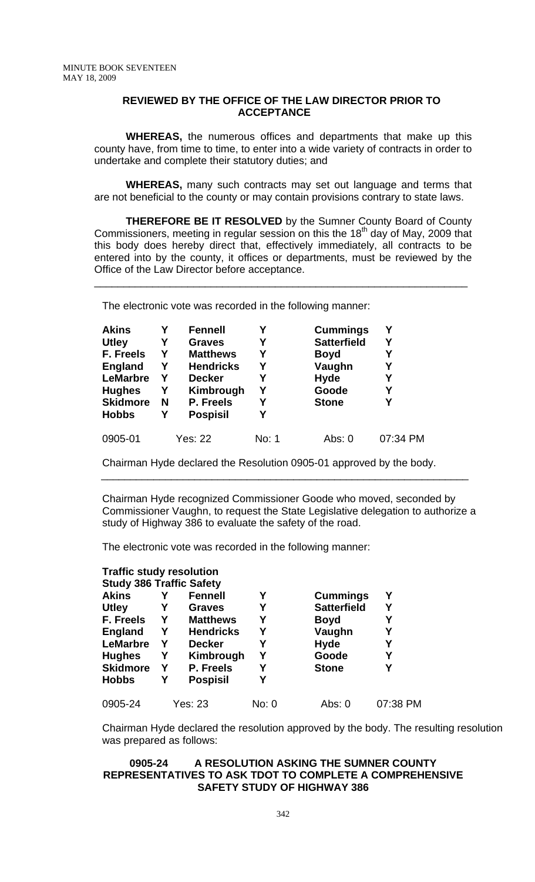#### **REVIEWED BY THE OFFICE OF THE LAW DIRECTOR PRIOR TO ACCEPTANCE**

**WHEREAS,** the numerous offices and departments that make up this county have, from time to time, to enter into a wide variety of contracts in order to undertake and complete their statutory duties; and

**WHEREAS,** many such contracts may set out language and terms that are not beneficial to the county or may contain provisions contrary to state laws.

**THEREFORE BE IT RESOLVED** by the Sumner County Board of County Commissioners, meeting in regular session on this the 18<sup>th</sup> day of May, 2009 that this body does hereby direct that, effectively immediately, all contracts to be entered into by the county, it offices or departments, must be reviewed by the Office of the Law Director before acceptance.

\_\_\_\_\_\_\_\_\_\_\_\_\_\_\_\_\_\_\_\_\_\_\_\_\_\_\_\_\_\_\_\_\_\_\_\_\_\_\_\_\_\_\_\_\_\_\_\_\_\_\_\_\_\_\_\_\_\_\_\_\_\_\_\_

The electronic vote was recorded in the following manner:

| <b>Akins</b>    | Υ | <b>Fennell</b>   | Υ     | <b>Cummings</b>    | Υ        |
|-----------------|---|------------------|-------|--------------------|----------|
| <b>Utley</b>    | Υ | <b>Graves</b>    | Υ     | <b>Satterfield</b> | Υ        |
| F. Freels       | Υ | <b>Matthews</b>  | Υ     | <b>Boyd</b>        | Y        |
| <b>England</b>  | Y | <b>Hendricks</b> | Υ     | Vaughn             | Υ        |
| <b>LeMarbre</b> | Υ | <b>Decker</b>    | Υ     | <b>Hyde</b>        | Υ        |
| <b>Hughes</b>   | Y | Kimbrough        | Υ     | Goode              | Υ        |
| <b>Skidmore</b> | N | P. Freels        | Υ     | <b>Stone</b>       | Υ        |
| <b>Hobbs</b>    | Υ | <b>Pospisil</b>  |       |                    |          |
| 0905-01         |   | Yes: 22          | No: 1 | Abs: $0$           | 07:34 PM |

Chairman Hyde declared the Resolution 0905-01 approved by the body.

Chairman Hyde recognized Commissioner Goode who moved, seconded by Commissioner Vaughn, to request the State Legislative delegation to authorize a study of Highway 386 to evaluate the safety of the road.

\_\_\_\_\_\_\_\_\_\_\_\_\_\_\_\_\_\_\_\_\_\_\_\_\_\_\_\_\_\_\_\_\_\_\_\_\_\_\_\_\_\_\_\_\_\_\_\_\_\_\_\_\_\_\_\_\_\_\_\_\_\_\_

The electronic vote was recorded in the following manner:

| <b>Traffic study resolution</b> |   |                  |       |                    |          |
|---------------------------------|---|------------------|-------|--------------------|----------|
| <b>Study 386 Traffic Safety</b> |   |                  |       |                    |          |
| <b>Akins</b>                    |   | <b>Fennell</b>   | Υ     | <b>Cummings</b>    | Υ        |
| <b>Utley</b>                    | Y | <b>Graves</b>    | Υ     | <b>Satterfield</b> | Υ        |
| F. Freels                       | Y | <b>Matthews</b>  | Υ     | Boyd               | Υ        |
| <b>England</b>                  | Y | <b>Hendricks</b> | Υ     | Vaughn             | Υ        |
| <b>LeMarbre</b>                 | Y | <b>Decker</b>    | Υ     | <b>Hyde</b>        | Y        |
| <b>Hughes</b>                   | Y | Kimbrough        | Υ     | Goode              | Υ        |
| <b>Skidmore</b>                 | Y | P. Freels        | Υ     | <b>Stone</b>       |          |
| <b>Hobbs</b>                    | Υ | <b>Pospisil</b>  | Υ     |                    |          |
| 0905-24                         |   | Yes: 23          | No: 0 | Abs: 0             | 07:38 PM |

Chairman Hyde declared the resolution approved by the body. The resulting resolution was prepared as follows:

## **0905-24 A RESOLUTION ASKING THE SUMNER COUNTY REPRESENTATIVES TO ASK TDOT TO COMPLETE A COMPREHENSIVE SAFETY STUDY OF HIGHWAY 386**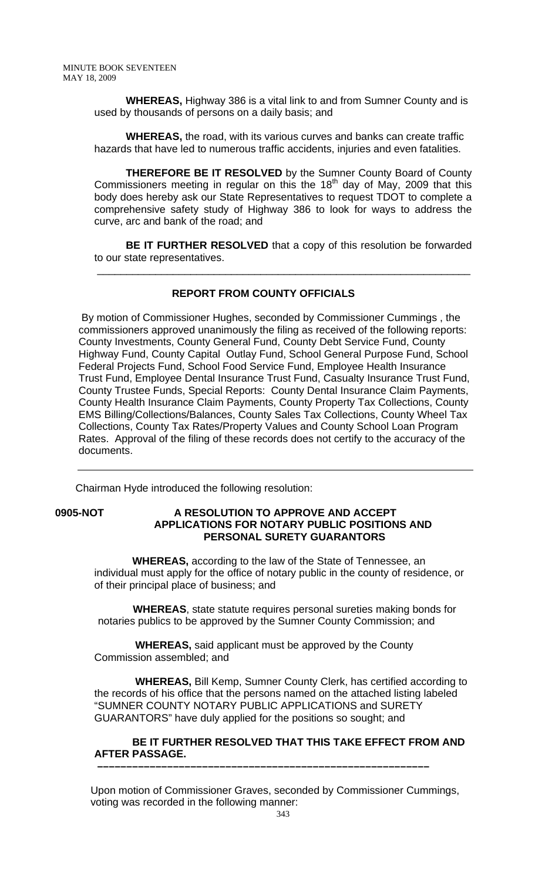**WHEREAS,** Highway 386 is a vital link to and from Sumner County and is used by thousands of persons on a daily basis; and

 **WHEREAS,** the road, with its various curves and banks can create traffic hazards that have led to numerous traffic accidents, injuries and even fatalities.

 **THEREFORE BE IT RESOLVED** by the Sumner County Board of County Commissioners meeting in regular on this the  $18<sup>th</sup>$  day of May, 2009 that this body does hereby ask our State Representatives to request TDOT to complete a comprehensive safety study of Highway 386 to look for ways to address the curve, arc and bank of the road; and

**BE IT FURTHER RESOLVED** that a copy of this resolution be forwarded to our state representatives.

\_\_\_\_\_\_\_\_\_\_\_\_\_\_\_\_\_\_\_\_\_\_\_\_\_\_\_\_\_\_\_\_\_\_\_\_\_\_\_\_\_\_\_\_\_\_\_\_\_\_\_\_\_\_\_\_\_\_\_\_\_\_\_\_

# **REPORT FROM COUNTY OFFICIALS**

 By motion of Commissioner Hughes, seconded by Commissioner Cummings , the commissioners approved unanimously the filing as received of the following reports: County Investments, County General Fund, County Debt Service Fund, County Highway Fund, County Capital Outlay Fund, School General Purpose Fund, School Federal Projects Fund, School Food Service Fund, Employee Health Insurance Trust Fund, Employee Dental Insurance Trust Fund, Casualty Insurance Trust Fund, County Trustee Funds, Special Reports: County Dental Insurance Claim Payments, County Health Insurance Claim Payments, County Property Tax Collections, County EMS Billing/Collections/Balances, County Sales Tax Collections, County Wheel Tax Collections, County Tax Rates/Property Values and County School Loan Program Rates. Approval of the filing of these records does not certify to the accuracy of the documents.

Chairman Hyde introduced the following resolution:

## **0905-NOT A RESOLUTION TO APPROVE AND ACCEPT APPLICATIONS FOR NOTARY PUBLIC POSITIONS AND PERSONAL SURETY GUARANTORS**

 **WHEREAS,** according to the law of the State of Tennessee, an individual must apply for the office of notary public in the county of residence, or of their principal place of business; and

 **WHEREAS**, state statute requires personal sureties making bonds for notaries publics to be approved by the Sumner County Commission; and

 **WHEREAS,** said applicant must be approved by the County Commission assembled; and

 **WHEREAS,** Bill Kemp, Sumner County Clerk, has certified according to the records of his office that the persons named on the attached listing labeled "SUMNER COUNTY NOTARY PUBLIC APPLICATIONS and SURETY GUARANTORS" have duly applied for the positions so sought; and

#### **BE IT FURTHER RESOLVED THAT THIS TAKE EFFECT FROM AND AFTER PASSAGE. –––––––––––––––––––––––––––––––––––––––––––––––––––––––––**

Upon motion of Commissioner Graves, seconded by Commissioner Cummings, voting was recorded in the following manner: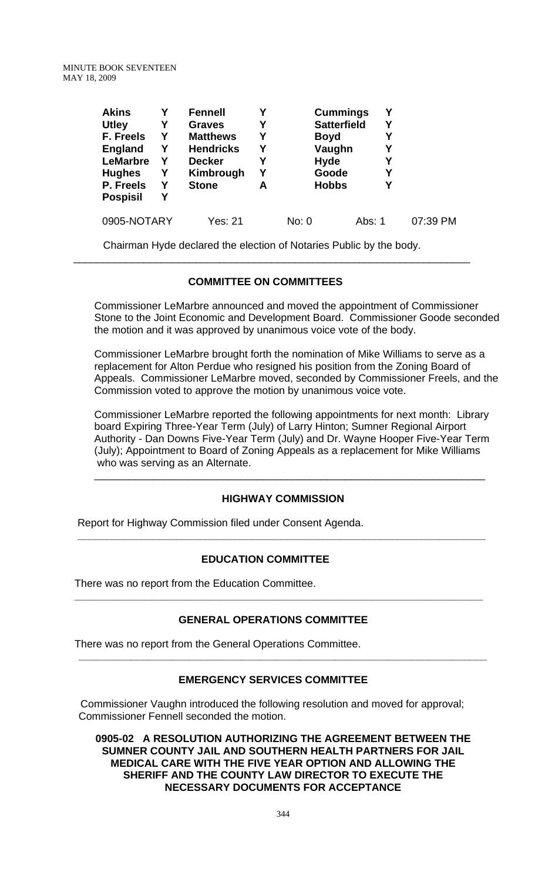MINUTE BOOK SEVENTEEN MAY 18, 2009

| <b>Akins</b>    |   | <b>Fennell</b>   |   | <b>Cummings</b>    | Υ      |          |
|-----------------|---|------------------|---|--------------------|--------|----------|
| <b>Utley</b>    | Υ | <b>Graves</b>    | Y | <b>Satterfield</b> | Y      |          |
| F. Freels       | Υ | <b>Matthews</b>  | Υ | <b>Boyd</b>        |        | Υ        |
| <b>England</b>  | Υ | <b>Hendricks</b> | Υ | Vaughn             | Y      |          |
| <b>LeMarbre</b> | Υ | <b>Decker</b>    | Y | <b>Hyde</b>        | Υ      |          |
| <b>Hughes</b>   | Υ | Kimbrough        | Υ | Goode              |        | Y        |
| P. Freels       | Υ | <b>Stone</b>     | A | <b>Hobbs</b>       |        | Υ        |
| <b>Pospisil</b> | Υ |                  |   |                    |        |          |
| 0905-NOTARY     |   | Yes: 21          |   | No: 0              | Abs: 1 | 07:39 PM |

 Chairman Hyde declared the election of Notaries Public by the body.  $\frac{1}{\sqrt{1-\frac{1}{2-\frac{1}{2-\frac{1}{2-\frac{1}{2-\frac{1}{2-\frac{1}{2-\frac{1}{2-\frac{1}{2-\frac{1}{2-\frac{1}{2-\frac{1}{2-\frac{1}{2-\frac{1}{2-\frac{1}{2-\frac{1}{2-\frac{1}{2-\frac{1}{2-\frac{1}{2-\frac{1}{2-\frac{1}{2-\frac{1}{2-\frac{1}{2-\frac{1}{2-\frac{1}{2-\frac{1}{2-\frac{1}{2-\frac{1}{2-\frac{1}{2-\frac{1}{2-\frac{1}{2-\frac{1}{2-\frac{1}{2-\frac{1}{2-\frac{1}{2-\frac{1}{2-\$ 

# **COMMITTEE ON COMMITTEES**

Commissioner LeMarbre announced and moved the appointment of Commissioner Stone to the Joint Economic and Development Board. Commissioner Goode seconded the motion and it was approved by unanimous voice vote of the body.

Commissioner LeMarbre brought forth the nomination of Mike Williams to serve as a replacement for Alton Perdue who resigned his position from the Zoning Board of Appeals. Commissioner LeMarbre moved, seconded by Commissioner Freels, and the Commission voted to approve the motion by unanimous voice vote.

Commissioner LeMarbre reported the following appointments for next month: Library board Expiring Three-Year Term (July) of Larry Hinton; Sumner Regional Airport Authority - Dan Downs Five-Year Term (July) and Dr. Wayne Hooper Five-Year Term (July); Appointment to Board of Zoning Appeals as a replacement for Mike Williams who was serving as an Alternate.

\_\_\_\_\_\_\_\_\_\_\_\_\_\_\_\_\_\_\_\_\_\_\_\_\_\_\_\_\_\_\_\_\_\_\_\_\_\_\_\_\_\_\_\_\_\_\_\_\_\_\_\_\_\_\_\_\_\_\_\_\_\_\_\_\_\_\_

# **HIGHWAY COMMISSION**

Report for Highway Commission filed under Consent Agenda.

#### **EDUCATION COMMITTEE**

 **\_\_\_\_\_\_\_\_\_\_\_\_\_\_\_\_\_\_\_\_\_\_\_\_\_\_\_\_\_\_\_\_\_\_\_\_\_\_\_\_\_\_\_\_\_\_\_\_\_\_\_\_\_\_\_\_\_\_\_\_\_\_\_\_\_\_\_\_\_\_** 

There was no report from the Education Committee.

# **GENERAL OPERATIONS COMMITTEE**

**\_\_\_\_\_\_\_\_\_\_\_\_\_\_\_\_\_\_\_\_\_\_\_\_\_\_\_\_\_\_\_\_\_\_\_\_\_\_\_\_\_\_\_\_\_\_\_\_\_\_\_\_\_\_\_\_\_\_\_\_\_\_\_\_\_\_\_\_\_\_** 

There was no report from the General Operations Committee.

#### **EMERGENCY SERVICES COMMITTEE**

**\_\_\_\_\_\_\_\_\_\_\_\_\_\_\_\_\_\_\_\_\_\_\_\_\_\_\_\_\_\_\_\_\_\_\_\_\_\_\_\_\_\_\_\_\_\_\_\_\_\_\_\_\_\_\_\_\_\_\_\_\_\_\_\_\_\_\_\_\_\_** 

 Commissioner Vaughn introduced the following resolution and moved for approval; Commissioner Fennell seconded the motion.

**0905-02 A RESOLUTION AUTHORIZING THE AGREEMENT BETWEEN THE SUMNER COUNTY JAIL AND SOUTHERN HEALTH PARTNERS FOR JAIL MEDICAL CARE WITH THE FIVE YEAR OPTION AND ALLOWING THE SHERIFF AND THE COUNTY LAW DIRECTOR TO EXECUTE THE NECESSARY DOCUMENTS FOR ACCEPTANCE**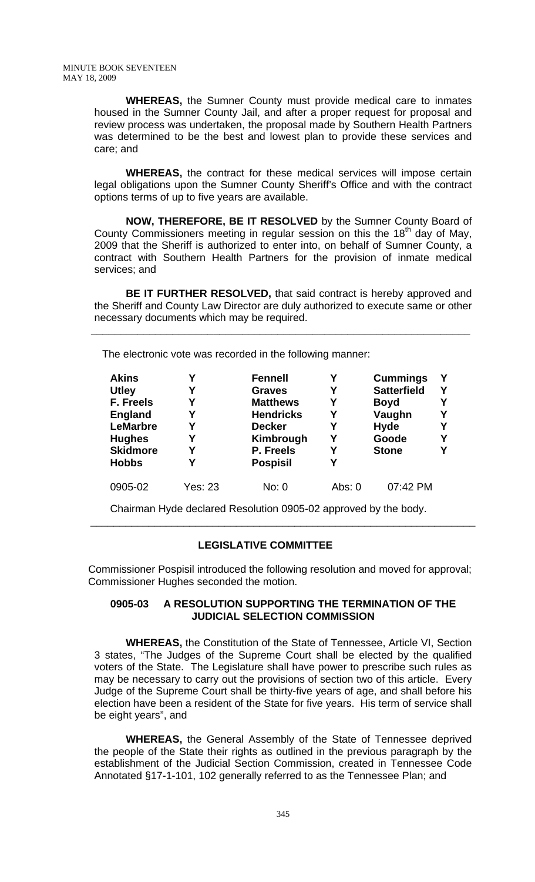**WHEREAS,** the Sumner County must provide medical care to inmates housed in the Sumner County Jail, and after a proper request for proposal and review process was undertaken, the proposal made by Southern Health Partners was determined to be the best and lowest plan to provide these services and care; and

 **WHEREAS,** the contract for these medical services will impose certain legal obligations upon the Sumner County Sheriff's Office and with the contract options terms of up to five years are available.

 **NOW, THEREFORE, BE IT RESOLVED** by the Sumner County Board of County Commissioners meeting in regular session on this the 18<sup>th</sup> day of May, 2009 that the Sheriff is authorized to enter into, on behalf of Sumner County, a contract with Southern Health Partners for the provision of inmate medical services; and

 **BE IT FURTHER RESOLVED,** that said contract is hereby approved and the Sheriff and County Law Director are duly authorized to execute same or other necessary documents which may be required.

 **\_\_\_\_\_\_\_\_\_\_\_\_\_\_\_\_\_\_\_\_\_\_\_\_\_\_\_\_\_\_\_\_\_\_\_\_\_\_\_\_\_\_\_\_\_\_\_\_\_\_\_\_\_\_\_\_\_\_\_\_\_\_\_\_\_** 

The electronic vote was recorded in the following manner:

| <b>Akins</b>    | Υ       | <b>Fennell</b>   |          | <b>Cummings</b>    | Υ |
|-----------------|---------|------------------|----------|--------------------|---|
| <b>Utley</b>    | Υ       | <b>Graves</b>    | Υ        | <b>Satterfield</b> | γ |
| F. Freels       | Υ       | <b>Matthews</b>  |          | <b>Boyd</b>        |   |
| <b>England</b>  | Υ       | <b>Hendricks</b> | Υ        | Vaughn             |   |
| <b>LeMarbre</b> | Υ       | <b>Decker</b>    | Υ        | <b>Hyde</b>        | Υ |
| <b>Hughes</b>   | Υ       | Kimbrough        | Υ        | Goode              | Υ |
| <b>Skidmore</b> | Υ       | P. Freels        | Y        | <b>Stone</b>       | Υ |
| <b>Hobbs</b>    | Υ       | <b>Pospisil</b>  | Υ        |                    |   |
| 0905-02         | Yes: 23 | No: 0            | Abs: $0$ | 07:42 PM           |   |

Chairman Hyde declared Resolution 0905-02 approved by the body.

## **LEGISLATIVE COMMITTEE**

 Commissioner Pospisil introduced the following resolution and moved for approval; Commissioner Hughes seconded the motion.

\_\_\_\_\_\_\_\_\_\_\_\_\_\_\_\_\_\_\_\_\_\_\_\_\_\_\_\_\_\_\_\_\_\_\_\_\_\_\_\_\_\_\_\_\_\_\_\_\_\_\_\_\_\_\_\_\_\_\_\_\_\_\_\_\_\_

#### **0905-03 A RESOLUTION SUPPORTING THE TERMINATION OF THE JUDICIAL SELECTION COMMISSION**

 **WHEREAS,** the Constitution of the State of Tennessee, Article VI, Section 3 states, "The Judges of the Supreme Court shall be elected by the qualified voters of the State. The Legislature shall have power to prescribe such rules as may be necessary to carry out the provisions of section two of this article. Every Judge of the Supreme Court shall be thirty-five years of age, and shall before his election have been a resident of the State for five years. His term of service shall be eight years", and

 **WHEREAS,** the General Assembly of the State of Tennessee deprived the people of the State their rights as outlined in the previous paragraph by the establishment of the Judicial Section Commission, created in Tennessee Code Annotated §17-1-101, 102 generally referred to as the Tennessee Plan; and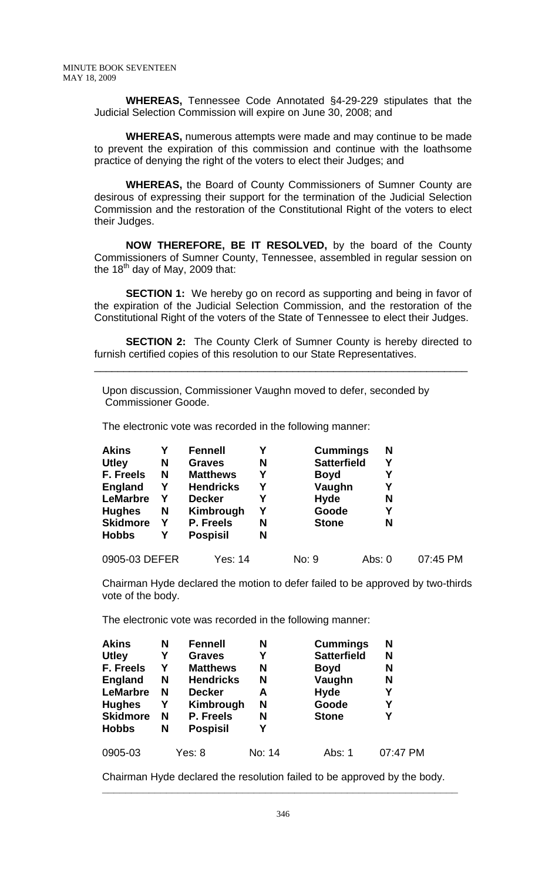**WHEREAS,** Tennessee Code Annotated §4-29-229 stipulates that the Judicial Selection Commission will expire on June 30, 2008; and

**WHEREAS,** numerous attempts were made and may continue to be made to prevent the expiration of this commission and continue with the loathsome practice of denying the right of the voters to elect their Judges; and

 **WHEREAS,** the Board of County Commissioners of Sumner County are desirous of expressing their support for the termination of the Judicial Selection Commission and the restoration of the Constitutional Right of the voters to elect their Judges.

**NOW THEREFORE, BE IT RESOLVED,** by the board of the County Commissioners of Sumner County, Tennessee, assembled in regular session on the 18<sup>th</sup> day of May, 2009 that:

**SECTION 1:** We hereby go on record as supporting and being in favor of the expiration of the Judicial Selection Commission, and the restoration of the Constitutional Right of the voters of the State of Tennessee to elect their Judges.

**SECTION 2:** The County Clerk of Sumner County is hereby directed to furnish certified copies of this resolution to our State Representatives.

\_\_\_\_\_\_\_\_\_\_\_\_\_\_\_\_\_\_\_\_\_\_\_\_\_\_\_\_\_\_\_\_\_\_\_\_\_\_\_\_\_\_\_\_\_\_\_\_\_\_\_\_\_\_\_\_\_\_\_\_\_\_\_\_

Upon discussion, Commissioner Vaughn moved to defer, seconded by Commissioner Goode.

The electronic vote was recorded in the following manner:

| <b>Akins</b>    |   | <b>Fennell</b>   | Υ | <b>Cummings</b>    | N      |          |
|-----------------|---|------------------|---|--------------------|--------|----------|
| <b>Utley</b>    | N | <b>Graves</b>    | N | <b>Satterfield</b> |        |          |
| F. Freels       | N | <b>Matthews</b>  | Υ | <b>Boyd</b>        |        |          |
| <b>England</b>  | Y | <b>Hendricks</b> | Υ | Vaughn             |        |          |
| <b>LeMarbre</b> | Y | <b>Decker</b>    | Υ | <b>Hyde</b>        | N      |          |
| <b>Hughes</b>   | N | Kimbrough        | Υ | Goode              | Υ      |          |
| <b>Skidmore</b> | Y | P. Freels        | N | <b>Stone</b>       | N      |          |
| <b>Hobbs</b>    | Y | <b>Pospisil</b>  | N |                    |        |          |
| 0905-03 DEFER   |   | Yes: 14          |   | No: 9              | Abs: 0 | 07:45 PM |

Chairman Hyde declared the motion to defer failed to be approved by two-thirds vote of the body.

The electronic vote was recorded in the following manner:

| <b>Akins</b>    | N | <b>Fennell</b>   | N      | <b>Cummings</b>    | N        |
|-----------------|---|------------------|--------|--------------------|----------|
| <b>Utley</b>    | Y | <b>Graves</b>    | Υ      | <b>Satterfield</b> | N        |
| F. Freels       | Υ | <b>Matthews</b>  | N      | <b>Boyd</b>        | N        |
| <b>England</b>  | N | <b>Hendricks</b> | N      | Vaughn             | N        |
| <b>LeMarbre</b> | N | <b>Decker</b>    | A      | <b>Hyde</b>        | Υ        |
| <b>Hughes</b>   | Υ | Kimbrough        | N      | Goode              | Υ        |
| <b>Skidmore</b> | N | P. Freels        | N      | <b>Stone</b>       | Υ        |
| <b>Hobbs</b>    | N | <b>Pospisil</b>  | Υ      |                    |          |
| 0905-03         |   | Yes: 8           | No: 14 | Abs: 1             | 07:47 PM |

Chairman Hyde declared the resolution failed to be approved by the body.

**\_\_\_\_\_\_\_\_\_\_\_\_\_\_\_\_\_\_\_\_\_\_\_\_\_\_\_\_\_\_\_\_\_\_\_\_\_\_\_\_\_\_\_\_\_\_\_\_\_\_\_\_\_\_\_\_\_\_\_\_\_**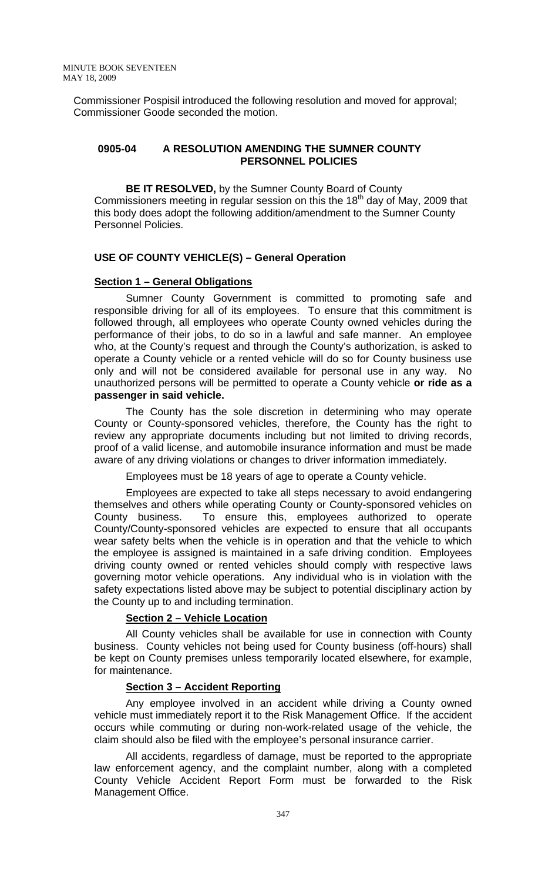Commissioner Pospisil introduced the following resolution and moved for approval; Commissioner Goode seconded the motion.

## **0905-04 A RESOLUTION AMENDING THE SUMNER COUNTY PERSONNEL POLICIES**

 **BE IT RESOLVED,** by the Sumner County Board of County Commissioners meeting in regular session on this the  $18<sup>th</sup>$  day of May, 2009 that this body does adopt the following addition/amendment to the Sumner County Personnel Policies.

#### **USE OF COUNTY VEHICLE(S) – General Operation**

#### **Section 1 – General Obligations**

 Sumner County Government is committed to promoting safe and responsible driving for all of its employees. To ensure that this commitment is followed through, all employees who operate County owned vehicles during the performance of their jobs, to do so in a lawful and safe manner. An employee who, at the County's request and through the County's authorization, is asked to operate a County vehicle or a rented vehicle will do so for County business use only and will not be considered available for personal use in any way. No unauthorized persons will be permitted to operate a County vehicle **or ride as a passenger in said vehicle.** 

The County has the sole discretion in determining who may operate County or County-sponsored vehicles, therefore, the County has the right to review any appropriate documents including but not limited to driving records, proof of a valid license, and automobile insurance information and must be made aware of any driving violations or changes to driver information immediately.

Employees must be 18 years of age to operate a County vehicle.

 Employees are expected to take all steps necessary to avoid endangering themselves and others while operating County or County-sponsored vehicles on County business. To ensure this, employees authorized to operate County/County-sponsored vehicles are expected to ensure that all occupants wear safety belts when the vehicle is in operation and that the vehicle to which the employee is assigned is maintained in a safe driving condition. Employees driving county owned or rented vehicles should comply with respective laws governing motor vehicle operations. Any individual who is in violation with the safety expectations listed above may be subject to potential disciplinary action by the County up to and including termination.

# **Section 2 – Vehicle Location**

 All County vehicles shall be available for use in connection with County business. County vehicles not being used for County business (off-hours) shall be kept on County premises unless temporarily located elsewhere, for example, for maintenance.

#### **Section 3 – Accident Reporting**

 Any employee involved in an accident while driving a County owned vehicle must immediately report it to the Risk Management Office. If the accident occurs while commuting or during non-work-related usage of the vehicle, the claim should also be filed with the employee's personal insurance carrier.

 All accidents, regardless of damage, must be reported to the appropriate law enforcement agency, and the complaint number, along with a completed County Vehicle Accident Report Form must be forwarded to the Risk Management Office.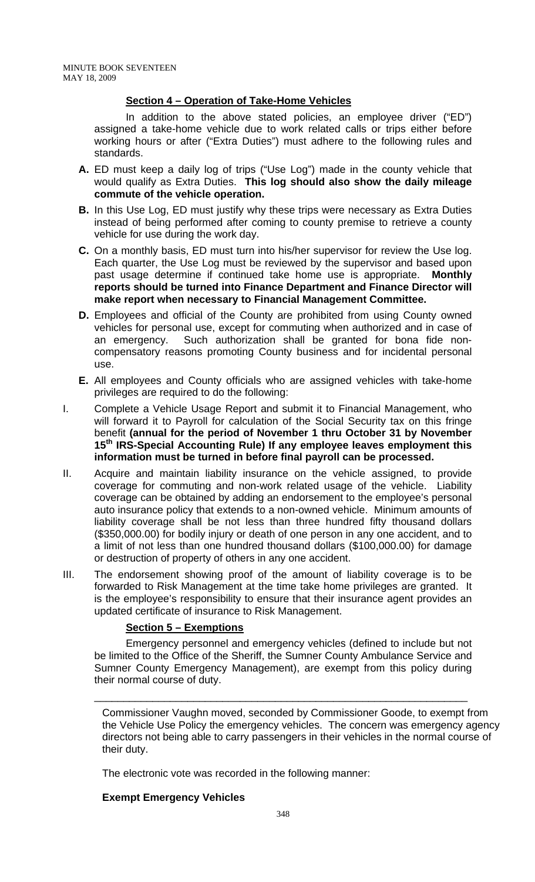# **Section 4 – Operation of Take-Home Vehicles**

 In addition to the above stated policies, an employee driver ("ED") assigned a take-home vehicle due to work related calls or trips either before working hours or after ("Extra Duties") must adhere to the following rules and standards.

- **A.** ED must keep a daily log of trips ("Use Log") made in the county vehicle that would qualify as Extra Duties. **This log should also show the daily mileage commute of the vehicle operation.**
- **B.** In this Use Log, ED must justify why these trips were necessary as Extra Duties instead of being performed after coming to county premise to retrieve a county vehicle for use during the work day.
- **C.** On a monthly basis, ED must turn into his/her supervisor for review the Use log. Each quarter, the Use Log must be reviewed by the supervisor and based upon past usage determine if continued take home use is appropriate. **Monthly reports should be turned into Finance Department and Finance Director will make report when necessary to Financial Management Committee.**
- **D.** Employees and official of the County are prohibited from using County owned vehicles for personal use, except for commuting when authorized and in case of an emergency. Such authorization shall be granted for bona fide noncompensatory reasons promoting County business and for incidental personal use.
- **E.** All employees and County officials who are assigned vehicles with take-home privileges are required to do the following:
- I. Complete a Vehicle Usage Report and submit it to Financial Management, who will forward it to Payroll for calculation of the Social Security tax on this fringe benefit **(annual for the period of November 1 thru October 31 by November 15th IRS-Special Accounting Rule) If any employee leaves employment this information must be turned in before final payroll can be processed.**
- II. Acquire and maintain liability insurance on the vehicle assigned, to provide coverage for commuting and non-work related usage of the vehicle. Liability coverage can be obtained by adding an endorsement to the employee's personal auto insurance policy that extends to a non-owned vehicle. Minimum amounts of liability coverage shall be not less than three hundred fifty thousand dollars (\$350,000.00) for bodily injury or death of one person in any one accident, and to a limit of not less than one hundred thousand dollars (\$100,000.00) for damage or destruction of property of others in any one accident.
- III. The endorsement showing proof of the amount of liability coverage is to be forwarded to Risk Management at the time take home privileges are granted. It is the employee's responsibility to ensure that their insurance agent provides an updated certificate of insurance to Risk Management.

# **Section 5 – Exemptions**

Emergency personnel and emergency vehicles (defined to include but not be limited to the Office of the Sheriff, the Sumner County Ambulance Service and Sumner County Emergency Management), are exempt from this policy during their normal course of duty.

\_\_\_\_\_\_\_\_\_\_\_\_\_\_\_\_\_\_\_\_\_\_\_\_\_\_\_\_\_\_\_\_\_\_\_\_\_\_\_\_\_\_\_\_\_\_\_\_\_\_\_\_\_\_\_\_\_\_\_\_\_\_\_\_

Commissioner Vaughn moved, seconded by Commissioner Goode, to exempt from the Vehicle Use Policy the emergency vehicles. The concern was emergency agency directors not being able to carry passengers in their vehicles in the normal course of their duty.

The electronic vote was recorded in the following manner:

#### **Exempt Emergency Vehicles**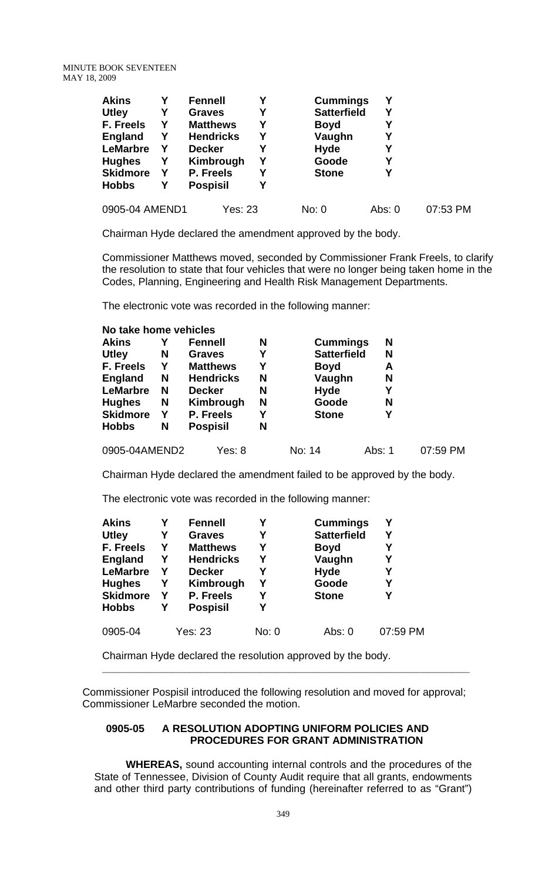| <b>Akins</b>    |   | <b>Fennell</b>   | Y | <b>Cummings</b>    | Υ        |          |
|-----------------|---|------------------|---|--------------------|----------|----------|
| <b>Utley</b>    | Y | <b>Graves</b>    | Y | <b>Satterfield</b> | Υ        |          |
| F. Freels       | Y | <b>Matthews</b>  | Y | <b>Boyd</b>        | Υ        |          |
| <b>England</b>  | Y | <b>Hendricks</b> | Υ | Vaughn             | Υ        |          |
| <b>LeMarbre</b> | Y | <b>Decker</b>    | Υ | <b>Hyde</b>        | Υ        |          |
| <b>Hughes</b>   | Y | Kimbrough        | Υ | Goode              | Υ        |          |
| <b>Skidmore</b> | Y | P. Freels        | Υ | <b>Stone</b>       | Υ        |          |
| <b>Hobbs</b>    | Y | <b>Pospisil</b>  | Υ |                    |          |          |
| 0905-04 AMEND1  |   | Yes: 23          |   | No: 0              | Abs: $0$ | 07:53 PM |

Chairman Hyde declared the amendment approved by the body.

Commissioner Matthews moved, seconded by Commissioner Frank Freels, to clarify the resolution to state that four vehicles that were no longer being taken home in the Codes, Planning, Engineering and Health Risk Management Departments.

The electronic vote was recorded in the following manner:

| No take home vehicles |   |                  |   |                    |        |          |
|-----------------------|---|------------------|---|--------------------|--------|----------|
| <b>Akins</b>          |   | Fennell          | N | <b>Cummings</b>    | N      |          |
| <b>Utley</b>          | N | <b>Graves</b>    | Y | <b>Satterfield</b> | N      |          |
| F. Freels             | Y | <b>Matthews</b>  | Y | <b>Boyd</b>        | A      |          |
| <b>England</b>        | N | <b>Hendricks</b> | N | Vaughn             | N      |          |
| <b>LeMarbre</b>       | N | <b>Decker</b>    | N | Hyde               | Υ      |          |
| <b>Hughes</b>         | N | Kimbrough        | N | Goode              | N      |          |
| <b>Skidmore</b>       | Y | P. Freels        | Υ | <b>Stone</b>       | Υ      |          |
| <b>Hobbs</b>          | N | <b>Pospisil</b>  | N |                    |        |          |
| 0905-04AMEND2         |   | Yes: 8           |   | No: 14             | Abs: 1 | 07:59 PM |

Chairman Hyde declared the amendment failed to be approved by the body.

The electronic vote was recorded in the following manner:

| <b>Akins</b>     |   | <b>Fennell</b>   | Υ     | <b>Cummings</b>    | Υ        |
|------------------|---|------------------|-------|--------------------|----------|
| <b>Utley</b>     | Υ | <b>Graves</b>    | Υ     | <b>Satterfield</b> | Y        |
| <b>F. Freels</b> | Y | <b>Matthews</b>  | Υ     | <b>Boyd</b>        |          |
| <b>England</b>   | Y | <b>Hendricks</b> | Y     | Vaughn             | Υ        |
| <b>LeMarbre</b>  | Υ | <b>Decker</b>    | Υ     | <b>Hyde</b>        | Y        |
| <b>Hughes</b>    | Y | Kimbrough        | Y     | Goode              | Υ        |
| <b>Skidmore</b>  | Y | P. Freels        | Υ     | <b>Stone</b>       | Υ        |
| <b>Hobbs</b>     | Υ | <b>Pospisil</b>  | Υ     |                    |          |
| 0905-04          |   | Yes: 23          | No: 0 | Abs: $0$           | 07:59 PM |

Chairman Hyde declared the resolution approved by the body.

 Commissioner Pospisil introduced the following resolution and moved for approval; Commissioner LeMarbre seconded the motion.

**\_\_\_\_\_\_\_\_\_\_\_\_\_\_\_\_\_\_\_\_\_\_\_\_\_\_\_\_\_\_\_\_\_\_\_\_\_\_\_\_\_\_\_\_\_\_\_\_\_\_\_\_\_\_\_\_\_\_\_\_\_\_\_** 

#### **0905-05 A RESOLUTION ADOPTING UNIFORM POLICIES AND PROCEDURES FOR GRANT ADMINISTRATION**

**WHEREAS,** sound accounting internal controls and the procedures of the State of Tennessee, Division of County Audit require that all grants, endowments and other third party contributions of funding (hereinafter referred to as "Grant")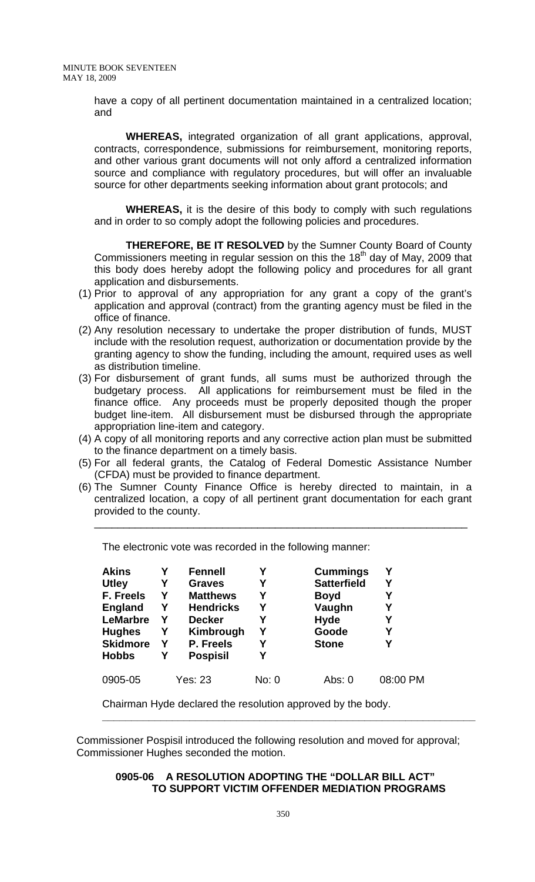have a copy of all pertinent documentation maintained in a centralized location; and

 **WHEREAS,** integrated organization of all grant applications, approval, contracts, correspondence, submissions for reimbursement, monitoring reports, and other various grant documents will not only afford a centralized information source and compliance with regulatory procedures, but will offer an invaluable source for other departments seeking information about grant protocols; and

 **WHEREAS,** it is the desire of this body to comply with such regulations and in order to so comply adopt the following policies and procedures.

**THEREFORE, BE IT RESOLVED** by the Sumner County Board of County Commissioners meeting in regular session on this the  $18<sup>th</sup>$  day of May, 2009 that this body does hereby adopt the following policy and procedures for all grant application and disbursements.

- (1) Prior to approval of any appropriation for any grant a copy of the grant's application and approval (contract) from the granting agency must be filed in the office of finance.
- (2) Any resolution necessary to undertake the proper distribution of funds, MUST include with the resolution request, authorization or documentation provide by the granting agency to show the funding, including the amount, required uses as well as distribution timeline.
- (3) For disbursement of grant funds, all sums must be authorized through the budgetary process. All applications for reimbursement must be filed in the finance office. Any proceeds must be properly deposited though the proper budget line-item. All disbursement must be disbursed through the appropriate appropriation line-item and category.
- (4) A copy of all monitoring reports and any corrective action plan must be submitted to the finance department on a timely basis.
- (5) For all federal grants, the Catalog of Federal Domestic Assistance Number (CFDA) must be provided to finance department.
- (6) The Sumner County Finance Office is hereby directed to maintain, in a centralized location, a copy of all pertinent grant documentation for each grant provided to the county.

\_\_\_\_\_\_\_\_\_\_\_\_\_\_\_\_\_\_\_\_\_\_\_\_\_\_\_\_\_\_\_\_\_\_\_\_\_\_\_\_\_\_\_\_\_\_\_\_\_\_\_\_\_\_\_\_\_\_\_\_\_\_\_\_

| <b>Akins</b>    | Υ | <b>Fennell</b>   | Υ     | <b>Cummings</b>    | Υ        |
|-----------------|---|------------------|-------|--------------------|----------|
| <b>Utley</b>    | Υ | <b>Graves</b>    | Υ     | <b>Satterfield</b> | Υ        |
| F. Freels       | Υ | <b>Matthews</b>  | Υ     | <b>Boyd</b>        | Υ        |
| <b>England</b>  | Υ | <b>Hendricks</b> | Υ     | Vaughn             | Υ        |
| <b>LeMarbre</b> | Υ | <b>Decker</b>    | Υ     | <b>Hyde</b>        | Υ        |
| <b>Hughes</b>   | Y | Kimbrough        | Υ     | Goode              | Υ        |
| <b>Skidmore</b> | Y | P. Freels        | Υ     | <b>Stone</b>       | Υ        |
| <b>Hobbs</b>    | Υ | <b>Pospisil</b>  |       |                    |          |
| 0905-05         |   | Yes: 23          | No: 0 | Abs: 0             | 08:00 PM |

The electronic vote was recorded in the following manner:

Chairman Hyde declared the resolution approved by the body.

 Commissioner Pospisil introduced the following resolution and moved for approval; Commissioner Hughes seconded the motion.

## **0905-06 A RESOLUTION ADOPTING THE "DOLLAR BILL ACT" TO SUPPORT VICTIM OFFENDER MEDIATION PROGRAMS**

**\_\_\_\_\_\_\_\_\_\_\_\_\_\_\_\_\_\_\_\_\_\_\_\_\_\_\_\_\_\_\_\_\_\_\_\_\_\_\_\_\_\_\_\_\_\_\_\_\_\_\_\_\_\_\_\_\_\_\_\_\_\_\_\_**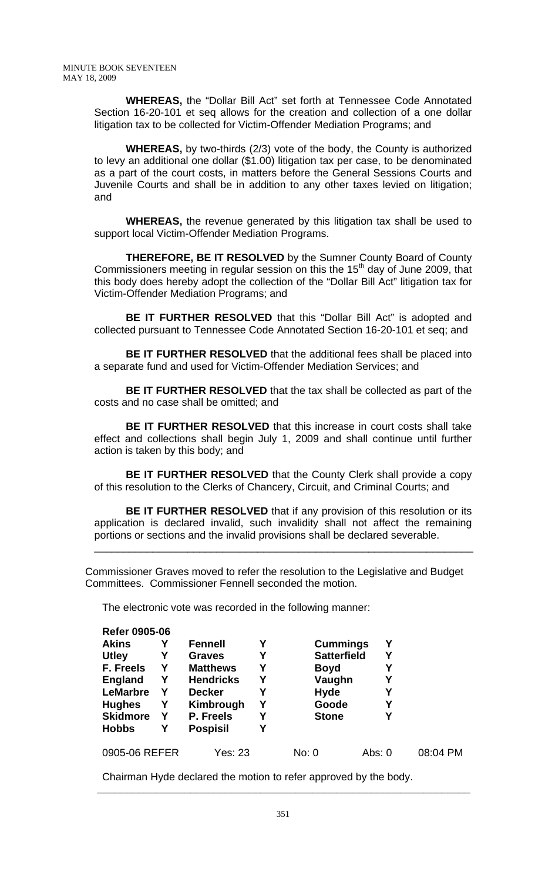**WHEREAS,** the "Dollar Bill Act" set forth at Tennessee Code Annotated Section 16-20-101 et seq allows for the creation and collection of a one dollar litigation tax to be collected for Victim-Offender Mediation Programs; and

**WHEREAS,** by two-thirds (2/3) vote of the body, the County is authorized to levy an additional one dollar (\$1.00) litigation tax per case, to be denominated as a part of the court costs, in matters before the General Sessions Courts and Juvenile Courts and shall be in addition to any other taxes levied on litigation; and

**WHEREAS,** the revenue generated by this litigation tax shall be used to support local Victim-Offender Mediation Programs.

**THEREFORE, BE IT RESOLVED** by the Sumner County Board of County Commissioners meeting in regular session on this the 15<sup>th</sup> day of June 2009, that this body does hereby adopt the collection of the "Dollar Bill Act" litigation tax for Victim-Offender Mediation Programs; and

**BE IT FURTHER RESOLVED** that this "Dollar Bill Act" is adopted and collected pursuant to Tennessee Code Annotated Section 16-20-101 et seq; and

**BE IT FURTHER RESOLVED** that the additional fees shall be placed into a separate fund and used for Victim-Offender Mediation Services; and

**BE IT FURTHER RESOLVED** that the tax shall be collected as part of the costs and no case shall be omitted; and

**BE IT FURTHER RESOLVED** that this increase in court costs shall take effect and collections shall begin July 1, 2009 and shall continue until further action is taken by this body; and

**BE IT FURTHER RESOLVED** that the County Clerk shall provide a copy of this resolution to the Clerks of Chancery, Circuit, and Criminal Courts; and

**BE IT FURTHER RESOLVED** that if any provision of this resolution or its application is declared invalid, such invalidity shall not affect the remaining portions or sections and the invalid provisions shall be declared severable.

\_\_\_\_\_\_\_\_\_\_\_\_\_\_\_\_\_\_\_\_\_\_\_\_\_\_\_\_\_\_\_\_\_\_\_\_\_\_\_\_\_\_\_\_\_\_\_\_\_\_\_\_\_\_\_\_\_\_\_\_\_\_\_\_\_

 Commissioner Graves moved to refer the resolution to the Legislative and Budget Committees. Commissioner Fennell seconded the motion.

The electronic vote was recorded in the following manner:

**Refer 0905-06** 

| <b>Refer 0905-06</b> |   |                  |   |                    |          |          |
|----------------------|---|------------------|---|--------------------|----------|----------|
| <b>Akins</b>         | Υ | <b>Fennell</b>   | Υ | <b>Cummings</b>    | Υ        |          |
| <b>Utley</b>         | Υ | <b>Graves</b>    | Υ | <b>Satterfield</b> | Y        |          |
| F. Freels            | Y | <b>Matthews</b>  | Y | <b>Boyd</b>        |          |          |
| <b>England</b>       | Y | <b>Hendricks</b> | Υ | Vaughn             | Y        |          |
| <b>LeMarbre</b>      | Υ | <b>Decker</b>    | Υ | <b>Hyde</b>        | Υ        |          |
| <b>Hughes</b>        | Y | Kimbrough        | Υ | Goode              | Υ        |          |
| <b>Skidmore</b>      | Y | P. Freels        | Υ | <b>Stone</b>       | Υ        |          |
| <b>Hobbs</b>         | Υ | <b>Pospisil</b>  | Υ |                    |          |          |
| 0905-06 REFER        |   | Yes: 23          |   | No: 0              | Abs: $0$ | 08:04 PM |

Chairman Hyde declared the motion to refer approved by the body.

 **\_\_\_\_\_\_\_\_\_\_\_\_\_\_\_\_\_\_\_\_\_\_\_\_\_\_\_\_\_\_\_\_\_\_\_\_\_\_\_\_\_\_\_\_\_\_\_\_\_\_\_\_\_\_\_\_\_\_\_\_\_\_\_\_**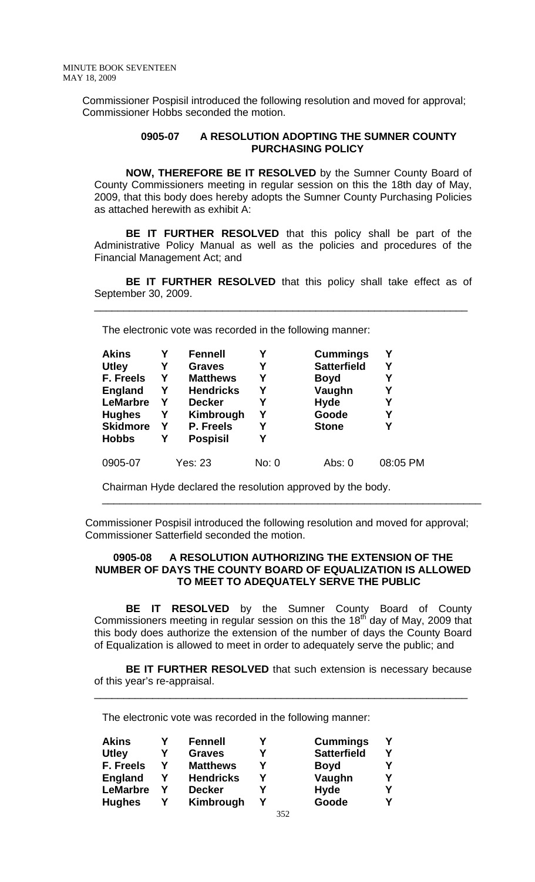Commissioner Pospisil introduced the following resolution and moved for approval; Commissioner Hobbs seconded the motion.

## **0905-07 A RESOLUTION ADOPTING THE SUMNER COUNTY PURCHASING POLICY**

**NOW, THEREFORE BE IT RESOLVED** by the Sumner County Board of County Commissioners meeting in regular session on this the 18th day of May, 2009, that this body does hereby adopts the Sumner County Purchasing Policies as attached herewith as exhibit A:

**BE IT FURTHER RESOLVED** that this policy shall be part of the Administrative Policy Manual as well as the policies and procedures of the Financial Management Act; and

**BE IT FURTHER RESOLVED** that this policy shall take effect as of September 30, 2009.

\_\_\_\_\_\_\_\_\_\_\_\_\_\_\_\_\_\_\_\_\_\_\_\_\_\_\_\_\_\_\_\_\_\_\_\_\_\_\_\_\_\_\_\_\_\_\_\_\_\_\_\_\_\_\_\_\_\_\_\_\_\_\_\_

The electronic vote was recorded in the following manner:

| Akins<br><b>Utley</b><br><b>F. Freels</b><br><b>England</b><br><b>LeMarbre</b><br><b>Hughes</b><br><b>Skidmore</b><br><b>Hobbs</b> | Υ<br>Υ<br>Υ<br>Υ<br>Υ<br>Υ<br>Y<br>Υ | <b>Fennell</b><br><b>Graves</b><br><b>Matthews</b><br><b>Hendricks</b><br><b>Decker</b><br>Kimbrough<br>P. Freels<br><b>Pospisil</b> | Υ<br>Υ<br>Υ<br>Υ<br>Υ<br>Υ<br>Υ | <b>Cummings</b><br><b>Satterfield</b><br><b>Boyd</b><br>Vaughn<br><b>Hyde</b><br>Goode<br><b>Stone</b> | Υ<br>Υ<br>Υ<br>Υ<br>Υ<br>Υ<br>Υ |
|------------------------------------------------------------------------------------------------------------------------------------|--------------------------------------|--------------------------------------------------------------------------------------------------------------------------------------|---------------------------------|--------------------------------------------------------------------------------------------------------|---------------------------------|
| 0905-07                                                                                                                            |                                      | <b>Yes: 23</b>                                                                                                                       | No: 0                           | Abs: 0                                                                                                 | 08:05 PM                        |

Chairman Hyde declared the resolution approved by the body.

 Commissioner Pospisil introduced the following resolution and moved for approval; Commissioner Satterfield seconded the motion.

\_\_\_\_\_\_\_\_\_\_\_\_\_\_\_\_\_\_\_\_\_\_\_\_\_\_\_\_\_\_\_\_\_\_\_\_\_\_\_\_\_\_\_\_\_\_\_\_\_\_\_\_\_\_\_\_\_\_\_\_\_\_\_\_\_

#### **0905-08 A RESOLUTION AUTHORIZING THE EXTENSION OF THE NUMBER OF DAYS THE COUNTY BOARD OF EQUALIZATION IS ALLOWED TO MEET TO ADEQUATELY SERVE THE PUBLIC**

 **BE IT RESOLVED** by the Sumner County Board of County Commissioners meeting in regular session on this the  $18<sup>th</sup>$  day of May, 2009 that this body does authorize the extension of the number of days the County Board of Equalization is allowed to meet in order to adequately serve the public; and

**BE IT FURTHER RESOLVED** that such extension is necessary because of this year's re-appraisal.

\_\_\_\_\_\_\_\_\_\_\_\_\_\_\_\_\_\_\_\_\_\_\_\_\_\_\_\_\_\_\_\_\_\_\_\_\_\_\_\_\_\_\_\_\_\_\_\_\_\_\_\_\_\_\_\_\_\_\_\_\_\_\_\_

The electronic vote was recorded in the following manner:

| <b>Akins</b>     |   | <b>Fennell</b>   | <b>Cummings</b>    |  |
|------------------|---|------------------|--------------------|--|
| <b>Utley</b>     | v | <b>Graves</b>    | <b>Satterfield</b> |  |
| <b>F. Freels</b> | Y | <b>Matthews</b>  | <b>Boyd</b>        |  |
| <b>England</b>   |   | <b>Hendricks</b> | Vaughn             |  |
| <b>LeMarbre</b>  |   | <b>Decker</b>    | <b>Hyde</b>        |  |
| <b>Hughes</b>    |   | Kimbrough        | Goode              |  |
|                  |   |                  |                    |  |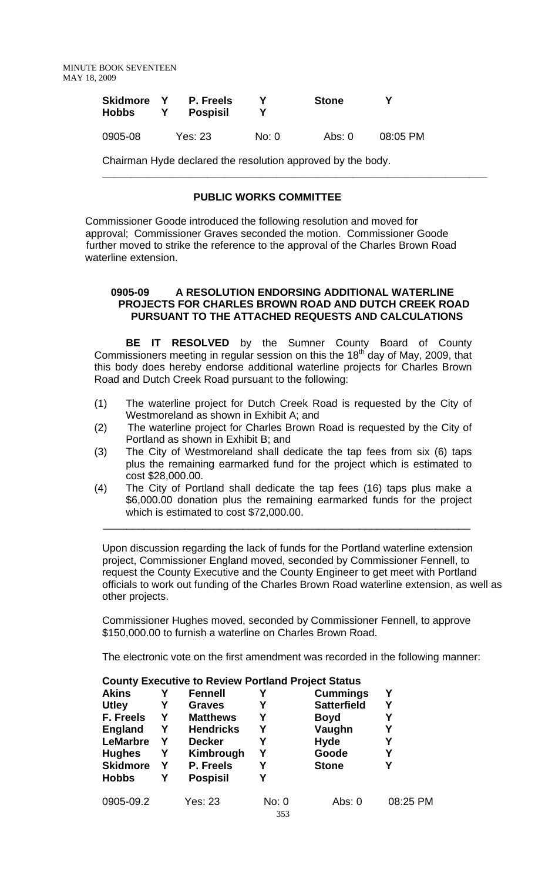| Skidmore<br>Hobbs | P. Freels<br><b>Pospisil</b> |       | <b>Stone</b> |          |
|-------------------|------------------------------|-------|--------------|----------|
| 0905-08           | Yes: 23                      | No: 0 | Abs: 0       | 08:05 PM |

Chairman Hyde declared the resolution approved by the body.

# **PUBLIC WORKS COMMITTEE**

 Commissioner Goode introduced the following resolution and moved for approval; Commissioner Graves seconded the motion. Commissioner Goode further moved to strike the reference to the approval of the Charles Brown Road waterline extension.

## **0905-09 A RESOLUTION ENDORSING ADDITIONAL WATERLINE PROJECTS FOR CHARLES BROWN ROAD AND DUTCH CREEK ROAD PURSUANT TO THE ATTACHED REQUESTS AND CALCULATIONS**

**\_\_\_\_\_\_\_\_\_\_\_\_\_\_\_\_\_\_\_\_\_\_\_\_\_\_\_\_\_\_\_\_\_\_\_\_\_\_\_\_\_\_\_\_\_\_\_\_\_\_\_\_\_\_\_\_\_\_\_\_\_\_\_\_\_\_** 

**BE IT RESOLVED** by the Sumner County Board of County Commissioners meeting in regular session on this the  $18<sup>th</sup>$  day of May, 2009, that this body does hereby endorse additional waterline projects for Charles Brown Road and Dutch Creek Road pursuant to the following:

- (1) The waterline project for Dutch Creek Road is requested by the City of Westmoreland as shown in Exhibit A; and
- (2) The waterline project for Charles Brown Road is requested by the City of Portland as shown in Exhibit B; and
- (3) The City of Westmoreland shall dedicate the tap fees from six (6) taps plus the remaining earmarked fund for the project which is estimated to cost \$28,000.00.
- (4) The City of Portland shall dedicate the tap fees (16) taps plus make a \$6,000.00 donation plus the remaining earmarked funds for the project which is estimated to cost \$72,000.00.

 $\frac{1}{2}$  ,  $\frac{1}{2}$  ,  $\frac{1}{2}$  ,  $\frac{1}{2}$  ,  $\frac{1}{2}$  ,  $\frac{1}{2}$  ,  $\frac{1}{2}$  ,  $\frac{1}{2}$  ,  $\frac{1}{2}$  ,  $\frac{1}{2}$  ,  $\frac{1}{2}$  ,  $\frac{1}{2}$  ,  $\frac{1}{2}$  ,  $\frac{1}{2}$  ,  $\frac{1}{2}$  ,  $\frac{1}{2}$  ,  $\frac{1}{2}$  ,  $\frac{1}{2}$  ,  $\frac{1$ 

Upon discussion regarding the lack of funds for the Portland waterline extension project, Commissioner England moved, seconded by Commissioner Fennell, to request the County Executive and the County Engineer to get meet with Portland officials to work out funding of the Charles Brown Road waterline extension, as well as other projects.

Commissioner Hughes moved, seconded by Commissioner Fennell, to approve \$150,000.00 to furnish a waterline on Charles Brown Road.

The electronic vote on the first amendment was recorded in the following manner:

| <b>Akins</b>    |   | <b>Fennell</b>   | Υ            | <b>Cummings</b>    | Υ        |
|-----------------|---|------------------|--------------|--------------------|----------|
| <b>Utley</b>    | Y | <b>Graves</b>    | Υ            | <b>Satterfield</b> | Υ        |
| F. Freels       | Y | <b>Matthews</b>  | Υ            | <b>Boyd</b>        |          |
| <b>England</b>  | Y | <b>Hendricks</b> | Υ            | Vaughn             | Υ        |
| <b>LeMarbre</b> | Y | <b>Decker</b>    | Υ            | <b>Hyde</b>        |          |
| <b>Hughes</b>   | Y | Kimbrough        | Υ            | Goode              | Υ        |
| <b>Skidmore</b> | Y | P. Freels        | Υ            | <b>Stone</b>       | Υ        |
| <b>Hobbs</b>    | Υ | <b>Pospisil</b>  | Υ            |                    |          |
| 0905-09.2       |   | Yes: 23          | No: 0<br>353 | Abs: 0             | 08:25 PM |

#### **County Executive to Review Portland Project Status**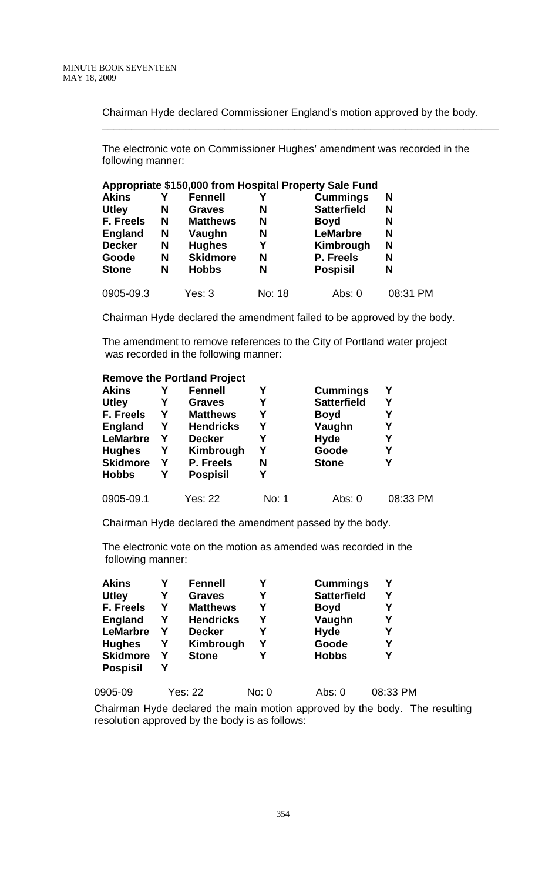Chairman Hyde declared Commissioner England's motion approved by the body.

**\_\_\_\_\_\_\_\_\_\_\_\_\_\_\_\_\_\_\_\_\_\_\_\_\_\_\_\_\_\_\_\_\_\_\_\_\_\_\_\_\_\_\_\_\_\_\_\_\_\_\_\_\_\_\_\_\_\_\_\_\_\_\_\_\_\_\_\_** 

The electronic vote on Commissioner Hughes' amendment was recorded in the following manner:

|                |   |                 |        | Appropriate \$150,000 from Hospital Property Sale Fund |          |
|----------------|---|-----------------|--------|--------------------------------------------------------|----------|
| <b>Akins</b>   |   | <b>Fennell</b>  |        | <b>Cummings</b>                                        | N        |
| <b>Utley</b>   | N | <b>Graves</b>   | N      | <b>Satterfield</b>                                     | N        |
| F. Freels      | N | <b>Matthews</b> | N      | <b>Boyd</b>                                            | N        |
| <b>England</b> | N | Vaughn          | N      | <b>LeMarbre</b>                                        | N        |
| <b>Decker</b>  | N | <b>Hughes</b>   | Υ      | Kimbrough                                              | N        |
| Goode          | N | <b>Skidmore</b> | N      | P. Freels                                              | N        |
| <b>Stone</b>   | N | <b>Hobbs</b>    | N      | <b>Pospisil</b>                                        | N        |
| 0905-09.3      |   | Yes: 3          | No: 18 | Abs: 0                                                 | 08:31 PM |

Chairman Hyde declared the amendment failed to be approved by the body.

The amendment to remove references to the City of Portland water project was recorded in the following manner:

#### **Remove the Portland Project**

| <b>Akins</b>    | Υ | <b>Fennell</b>   | Υ     | <b>Cummings</b>    | Υ        |
|-----------------|---|------------------|-------|--------------------|----------|
| <b>Utley</b>    | Υ | <b>Graves</b>    | Υ     | <b>Satterfield</b> | Υ        |
| F. Freels       | Y | <b>Matthews</b>  | Υ     | <b>Boyd</b>        | Υ        |
| <b>England</b>  | Y | <b>Hendricks</b> | Υ     | Vaughn             | Υ        |
| <b>LeMarbre</b> | Υ | <b>Decker</b>    | Υ     | <b>Hyde</b>        | Υ        |
| <b>Hughes</b>   | Y | Kimbrough        | Υ     | Goode              | Υ        |
| <b>Skidmore</b> | Y | P. Freels        | N     | <b>Stone</b>       | Υ        |
| <b>Hobbs</b>    | Y | <b>Pospisil</b>  | Υ     |                    |          |
| 0905-09.1       |   | Yes: 22          | No: 1 | Abs: 0             | 08:33 PM |

Chairman Hyde declared the amendment passed by the body.

The electronic vote on the motion as amended was recorded in the following manner:

| <b>Akins</b>    |   | <b>Fennell</b>   |   | <b>Cummings</b>    |   |
|-----------------|---|------------------|---|--------------------|---|
| <b>Utley</b>    | Υ | <b>Graves</b>    | Υ | <b>Satterfield</b> |   |
| F. Freels       | Υ | <b>Matthews</b>  | Υ | <b>Boyd</b>        | Υ |
| <b>England</b>  | Υ | <b>Hendricks</b> | Υ | Vaughn             | Υ |
| <b>LeMarbre</b> | Υ | <b>Decker</b>    |   | <b>Hyde</b>        | Υ |
| <b>Hughes</b>   | Υ | Kimbrough        | Υ | Goode              | Y |
| <b>Skidmore</b> | Υ | <b>Stone</b>     |   | <b>Hobbs</b>       | Υ |
| <b>Pospisil</b> |   |                  |   |                    |   |
|                 |   |                  |   |                    |   |

| 0905-09 | Yes: 22 | No: 0 | Abs: 0 | 08:33 PM |
|---------|---------|-------|--------|----------|
|         |         |       |        |          |

Chairman Hyde declared the main motion approved by the body. The resulting resolution approved by the body is as follows: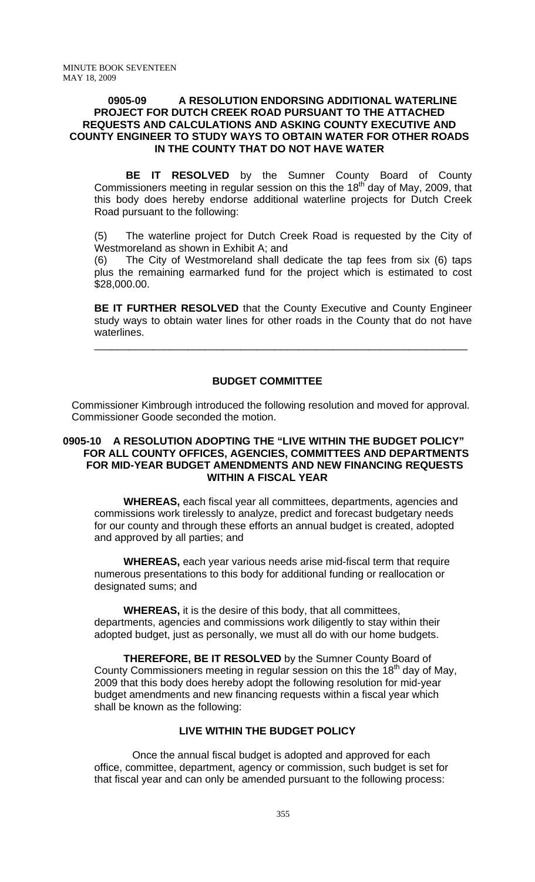#### **0905-09 A RESOLUTION ENDORSING ADDITIONAL WATERLINE PROJECT FOR DUTCH CREEK ROAD PURSUANT TO THE ATTACHED REQUESTS AND CALCULATIONS AND ASKING COUNTY EXECUTIVE AND COUNTY ENGINEER TO STUDY WAYS TO OBTAIN WATER FOR OTHER ROADS IN THE COUNTY THAT DO NOT HAVE WATER**

**BE IT RESOLVED** by the Sumner County Board of County Commissioners meeting in regular session on this the  $18<sup>th</sup>$  day of May, 2009, that this body does hereby endorse additional waterline projects for Dutch Creek Road pursuant to the following:

(5) The waterline project for Dutch Creek Road is requested by the City of Westmoreland as shown in Exhibit A; and

(6) The City of Westmoreland shall dedicate the tap fees from six (6) taps plus the remaining earmarked fund for the project which is estimated to cost \$28,000.00.

**BE IT FURTHER RESOLVED** that the County Executive and County Engineer study ways to obtain water lines for other roads in the County that do not have waterlines.

\_\_\_\_\_\_\_\_\_\_\_\_\_\_\_\_\_\_\_\_\_\_\_\_\_\_\_\_\_\_\_\_\_\_\_\_\_\_\_\_\_\_\_\_\_\_\_\_\_\_\_\_\_\_\_\_\_\_\_\_\_\_\_\_

## **BUDGET COMMITTEE**

 Commissioner Kimbrough introduced the following resolution and moved for approval. Commissioner Goode seconded the motion.

#### **0905-10 A RESOLUTION ADOPTING THE "LIVE WITHIN THE BUDGET POLICY" FOR ALL COUNTY OFFICES, AGENCIES, COMMITTEES AND DEPARTMENTS FOR MID-YEAR BUDGET AMENDMENTS AND NEW FINANCING REQUESTS WITHIN A FISCAL YEAR**

 **WHEREAS,** each fiscal year all committees, departments, agencies and commissions work tirelessly to analyze, predict and forecast budgetary needs for our county and through these efforts an annual budget is created, adopted and approved by all parties; and

 **WHEREAS,** each year various needs arise mid-fiscal term that require numerous presentations to this body for additional funding or reallocation or designated sums; and

 **WHEREAS,** it is the desire of this body, that all committees, departments, agencies and commissions work diligently to stay within their adopted budget, just as personally, we must all do with our home budgets.

 **THEREFORE, BE IT RESOLVED** by the Sumner County Board of County Commissioners meeting in regular session on this the  $18<sup>th</sup>$  day of May, 2009 that this body does hereby adopt the following resolution for mid-year budget amendments and new financing requests within a fiscal year which shall be known as the following:

# **LIVE WITHIN THE BUDGET POLICY**

 Once the annual fiscal budget is adopted and approved for each office, committee, department, agency or commission, such budget is set for that fiscal year and can only be amended pursuant to the following process: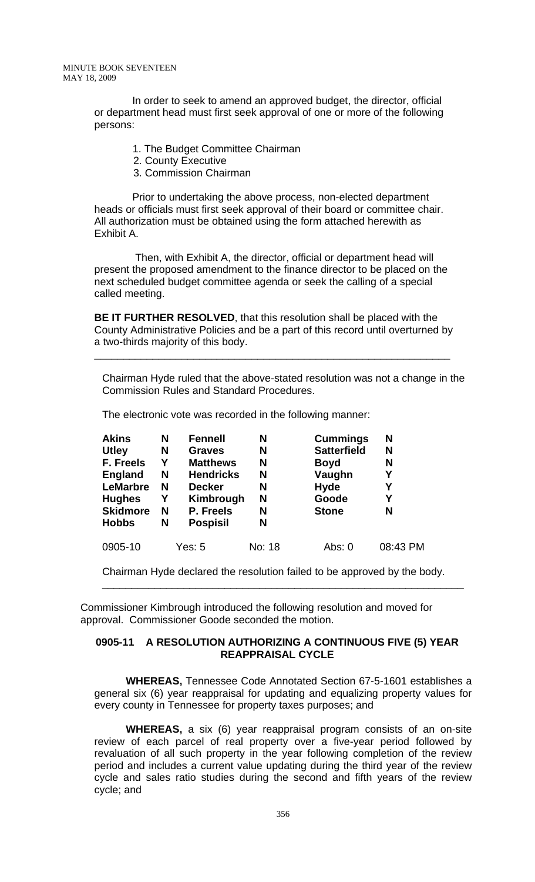MINUTE BOOK SEVENTEEN MAY 18, 2009

> In order to seek to amend an approved budget, the director, official or department head must first seek approval of one or more of the following persons:

- 1. The Budget Committee Chairman
- 2. County Executive
- 3. Commission Chairman

 Prior to undertaking the above process, non-elected department heads or officials must first seek approval of their board or committee chair. All authorization must be obtained using the form attached herewith as Exhibit A.

 Then, with Exhibit A, the director, official or department head will present the proposed amendment to the finance director to be placed on the next scheduled budget committee agenda or seek the calling of a special called meeting.

**BE IT FURTHER RESOLVED**, that this resolution shall be placed with the County Administrative Policies and be a part of this record until overturned by a two-thirds majority of this body.

\_\_\_\_\_\_\_\_\_\_\_\_\_\_\_\_\_\_\_\_\_\_\_\_\_\_\_\_\_\_\_\_\_\_\_\_\_\_\_\_\_\_\_\_\_\_\_\_\_\_\_\_\_\_\_\_\_\_\_\_\_

Chairman Hyde ruled that the above-stated resolution was not a change in the Commission Rules and Standard Procedures.

The electronic vote was recorded in the following manner:

| <b>Akins</b>    | N | <b>Fennell</b>   | N      | <b>Cummings</b>    | N        |
|-----------------|---|------------------|--------|--------------------|----------|
| <b>Utley</b>    | N | <b>Graves</b>    | N      | <b>Satterfield</b> | N        |
| F. Freels       | Y | <b>Matthews</b>  | N      | <b>Boyd</b>        | N        |
| <b>England</b>  | N | <b>Hendricks</b> | N      | Vaughn             | Υ        |
| <b>LeMarbre</b> | N | <b>Decker</b>    | N      | <b>Hyde</b>        | Υ        |
| <b>Hughes</b>   | Y | Kimbrough        | N      | Goode              | Υ        |
| <b>Skidmore</b> | N | P. Freels        | N      | <b>Stone</b>       | N        |
| <b>Hobbs</b>    | N | <b>Pospisil</b>  | N      |                    |          |
| 0905-10         |   | Yes: 5           | No: 18 | Abs: 0             | 08:43 PM |

Chairman Hyde declared the resolution failed to be approved by the body.

\_\_\_\_\_\_\_\_\_\_\_\_\_\_\_\_\_\_\_\_\_\_\_\_\_\_\_\_\_\_\_\_\_\_\_\_\_\_\_\_\_\_\_\_\_\_\_\_\_\_\_\_\_\_\_\_\_\_\_\_\_\_

 Commissioner Kimbrough introduced the following resolution and moved for approval. Commissioner Goode seconded the motion.

#### **0905-11 A RESOLUTION AUTHORIZING A CONTINUOUS FIVE (5) YEAR REAPPRAISAL CYCLE**

 **WHEREAS,** Tennessee Code Annotated Section 67-5-1601 establishes a general six (6) year reappraisal for updating and equalizing property values for every county in Tennessee for property taxes purposes; and

**WHEREAS,** a six (6) year reappraisal program consists of an on-site review of each parcel of real property over a five-year period followed by revaluation of all such property in the year following completion of the review period and includes a current value updating during the third year of the review cycle and sales ratio studies during the second and fifth years of the review cycle; and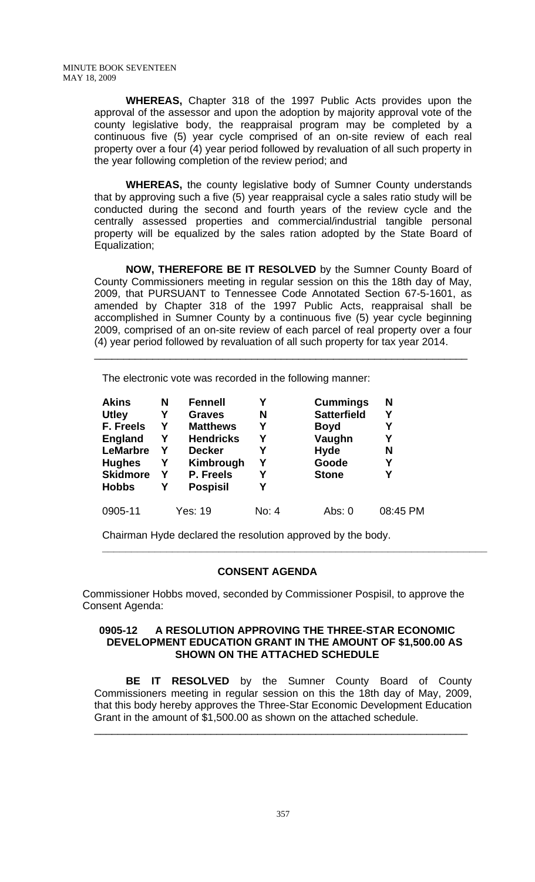**WHEREAS,** Chapter 318 of the 1997 Public Acts provides upon the approval of the assessor and upon the adoption by majority approval vote of the county legislative body, the reappraisal program may be completed by a continuous five (5) year cycle comprised of an on-site review of each real property over a four (4) year period followed by revaluation of all such property in the year following completion of the review period; and

**WHEREAS,** the county legislative body of Sumner County understands that by approving such a five (5) year reappraisal cycle a sales ratio study will be conducted during the second and fourth years of the review cycle and the centrally assessed properties and commercial/industrial tangible personal property will be equalized by the sales ration adopted by the State Board of Equalization;

**NOW, THEREFORE BE IT RESOLVED** by the Sumner County Board of County Commissioners meeting in regular session on this the 18th day of May, 2009, that PURSUANT to Tennessee Code Annotated Section 67-5-1601, as amended by Chapter 318 of the 1997 Public Acts, reappraisal shall be accomplished in Sumner County by a continuous five (5) year cycle beginning 2009, comprised of an on-site review of each parcel of real property over a four (4) year period followed by revaluation of all such property for tax year 2014.

\_\_\_\_\_\_\_\_\_\_\_\_\_\_\_\_\_\_\_\_\_\_\_\_\_\_\_\_\_\_\_\_\_\_\_\_\_\_\_\_\_\_\_\_\_\_\_\_\_\_\_\_\_\_\_\_\_\_\_\_\_\_\_\_

The electronic vote was recorded in the following manner:

| <b>Akins</b>    | N | <b>Fennell</b>   |       | <b>Cummings</b>    | N        |
|-----------------|---|------------------|-------|--------------------|----------|
| <b>Utley</b>    | Υ | <b>Graves</b>    | N     | <b>Satterfield</b> | Υ        |
| F. Freels       | Y | <b>Matthews</b>  | Υ     | <b>Boyd</b>        | Υ        |
| <b>England</b>  | Y | <b>Hendricks</b> | Υ     | Vaughn             | Υ        |
| <b>LeMarbre</b> | Υ | <b>Decker</b>    | Υ     | <b>Hyde</b>        | N        |
| <b>Hughes</b>   | Υ | Kimbrough        | Υ     | Goode              | Υ        |
| <b>Skidmore</b> | Y | P. Freels        | Υ     | <b>Stone</b>       | Υ        |
| <b>Hobbs</b>    | Υ | <b>Pospisil</b>  |       |                    |          |
| 0905-11         |   | Yes: 19          | No: 4 | Abs: $0$           | 08:45 PM |

Chairman Hyde declared the resolution approved by the body.

# **CONSENT AGENDA**

Commissioner Hobbs moved, seconded by Commissioner Pospisil, to approve the Consent Agenda:

**\_\_\_\_\_\_\_\_\_\_\_\_\_\_\_\_\_\_\_\_\_\_\_\_\_\_\_\_\_\_\_\_\_\_\_\_\_\_\_\_\_\_\_\_\_\_\_\_\_\_\_\_\_\_\_\_\_\_\_\_\_\_\_\_\_\_** 

#### **0905-12 A RESOLUTION APPROVING THE THREE-STAR ECONOMIC DEVELOPMENT EDUCATION GRANT IN THE AMOUNT OF \$1,500.00 AS SHOWN ON THE ATTACHED SCHEDULE**

 **BE IT RESOLVED** by the Sumner County Board of County Commissioners meeting in regular session on this the 18th day of May, 2009, that this body hereby approves the Three-Star Economic Development Education Grant in the amount of \$1,500.00 as shown on the attached schedule.

\_\_\_\_\_\_\_\_\_\_\_\_\_\_\_\_\_\_\_\_\_\_\_\_\_\_\_\_\_\_\_\_\_\_\_\_\_\_\_\_\_\_\_\_\_\_\_\_\_\_\_\_\_\_\_\_\_\_\_\_\_\_\_\_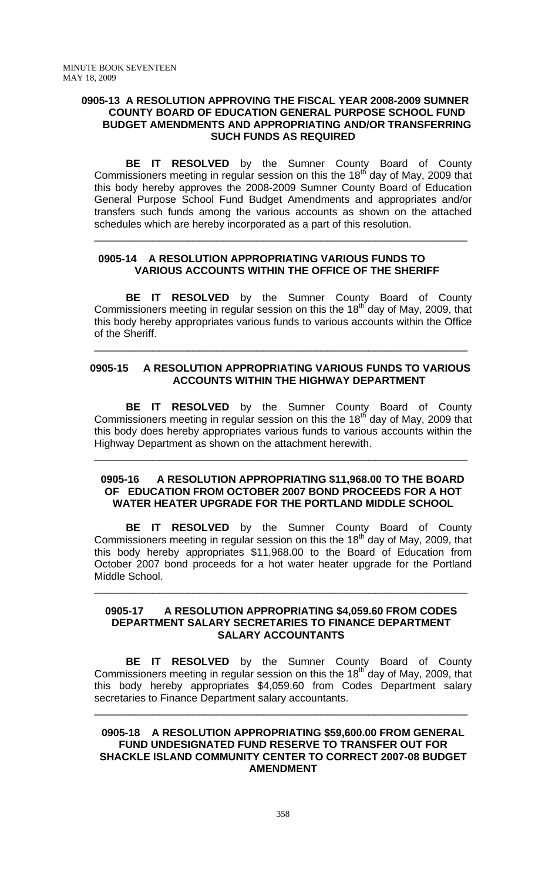#### **0905-13 A RESOLUTION APPROVING THE FISCAL YEAR 2008-2009 SUMNER COUNTY BOARD OF EDUCATION GENERAL PURPOSE SCHOOL FUND BUDGET AMENDMENTS AND APPROPRIATING AND/OR TRANSFERRING SUCH FUNDS AS REQUIRED**

 **BE IT RESOLVED** by the Sumner County Board of County Commissioners meeting in regular session on this the  $18<sup>th</sup>$  day of May, 2009 that this body hereby approves the 2008-2009 Sumner County Board of Education General Purpose School Fund Budget Amendments and appropriates and/or transfers such funds among the various accounts as shown on the attached schedules which are hereby incorporated as a part of this resolution.

\_\_\_\_\_\_\_\_\_\_\_\_\_\_\_\_\_\_\_\_\_\_\_\_\_\_\_\_\_\_\_\_\_\_\_\_\_\_\_\_\_\_\_\_\_\_\_\_\_\_\_\_\_\_\_\_\_\_\_\_\_\_\_\_

## **0905-14 A RESOLUTION APPROPRIATING VARIOUS FUNDS TO VARIOUS ACCOUNTS WITHIN THE OFFICE OF THE SHERIFF**

**BE IT RESOLVED** by the Sumner County Board of County Commissioners meeting in regular session on this the 18<sup>th</sup> day of May, 2009, that this body hereby appropriates various funds to various accounts within the Office of the Sheriff.

## **0905-15 A RESOLUTION APPROPRIATING VARIOUS FUNDS TO VARIOUS ACCOUNTS WITHIN THE HIGHWAY DEPARTMENT**

\_\_\_\_\_\_\_\_\_\_\_\_\_\_\_\_\_\_\_\_\_\_\_\_\_\_\_\_\_\_\_\_\_\_\_\_\_\_\_\_\_\_\_\_\_\_\_\_\_\_\_\_\_\_\_\_\_\_\_\_\_\_\_\_

 **BE IT RESOLVED** by the Sumner County Board of County Commissioners meeting in regular session on this the  $18<sup>th</sup>$  day of May, 2009 that this body does hereby appropriates various funds to various accounts within the Highway Department as shown on the attachment herewith.

\_\_\_\_\_\_\_\_\_\_\_\_\_\_\_\_\_\_\_\_\_\_\_\_\_\_\_\_\_\_\_\_\_\_\_\_\_\_\_\_\_\_\_\_\_\_\_\_\_\_\_\_\_\_\_\_\_\_\_\_\_\_\_\_

#### **0905-16 A RESOLUTION APPROPRIATING \$11,968.00 TO THE BOARD OF EDUCATION FROM OCTOBER 2007 BOND PROCEEDS FOR A HOT WATER HEATER UPGRADE FOR THE PORTLAND MIDDLE SCHOOL**

**BE IT RESOLVED** by the Sumner County Board of County Commissioners meeting in regular session on this the  $18<sup>th</sup>$  day of May, 2009, that this body hereby appropriates \$11,968.00 to the Board of Education from October 2007 bond proceeds for a hot water heater upgrade for the Portland Middle School.

#### **0905-17 A RESOLUTION APPROPRIATING \$4,059.60 FROM CODES DEPARTMENT SALARY SECRETARIES TO FINANCE DEPARTMENT SALARY ACCOUNTANTS**

\_\_\_\_\_\_\_\_\_\_\_\_\_\_\_\_\_\_\_\_\_\_\_\_\_\_\_\_\_\_\_\_\_\_\_\_\_\_\_\_\_\_\_\_\_\_\_\_\_\_\_\_\_\_\_\_\_\_\_\_\_\_\_\_

**BE IT RESOLVED** by the Sumner County Board of County Commissioners meeting in regular session on this the  $18<sup>th</sup>$  day of May, 2009, that this body hereby appropriates \$4,059.60 from Codes Department salary secretaries to Finance Department salary accountants.

\_\_\_\_\_\_\_\_\_\_\_\_\_\_\_\_\_\_\_\_\_\_\_\_\_\_\_\_\_\_\_\_\_\_\_\_\_\_\_\_\_\_\_\_\_\_\_\_\_\_\_\_\_\_\_\_\_\_\_\_\_\_\_\_

## **0905-18 A RESOLUTION APPROPRIATING \$59,600.00 FROM GENERAL FUND UNDESIGNATED FUND RESERVE TO TRANSFER OUT FOR SHACKLE ISLAND COMMUNITY CENTER TO CORRECT 2007-08 BUDGET AMENDMENT**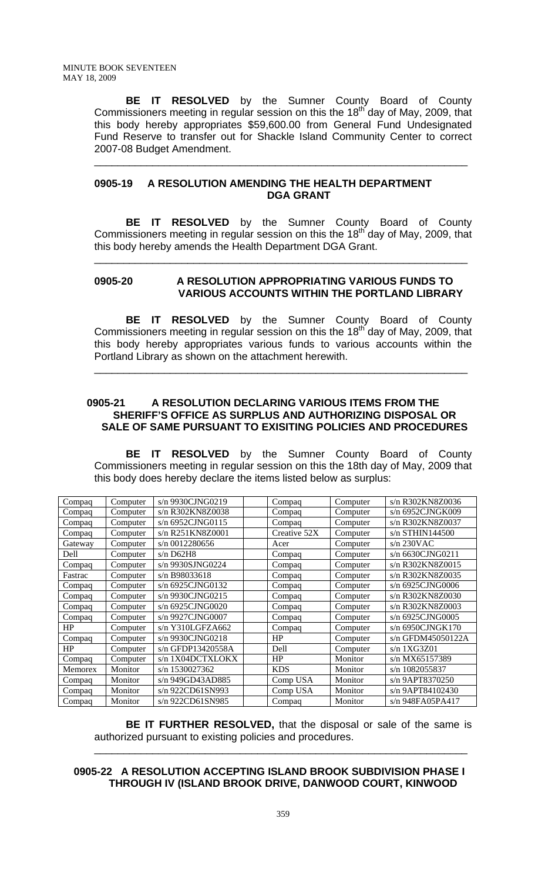**BE IT RESOLVED** by the Sumner County Board of County Commissioners meeting in regular session on this the 18<sup>th</sup> day of May, 2009, that this body hereby appropriates \$59,600.00 from General Fund Undesignated Fund Reserve to transfer out for Shackle Island Community Center to correct 2007-08 Budget Amendment.

\_\_\_\_\_\_\_\_\_\_\_\_\_\_\_\_\_\_\_\_\_\_\_\_\_\_\_\_\_\_\_\_\_\_\_\_\_\_\_\_\_\_\_\_\_\_\_\_\_\_\_\_\_\_\_\_\_\_\_\_\_\_\_\_

## **0905-19 A RESOLUTION AMENDING THE HEALTH DEPARTMENT DGA GRANT**

 **BE IT RESOLVED** by the Sumner County Board of County Commissioners meeting in regular session on this the  $18<sup>th</sup>$  day of May, 2009, that this body hereby amends the Health Department DGA Grant.

\_\_\_\_\_\_\_\_\_\_\_\_\_\_\_\_\_\_\_\_\_\_\_\_\_\_\_\_\_\_\_\_\_\_\_\_\_\_\_\_\_\_\_\_\_\_\_\_\_\_\_\_\_\_\_\_\_\_\_\_\_\_\_\_

## **0905-20 A RESOLUTION APPROPRIATING VARIOUS FUNDS TO VARIOUS ACCOUNTS WITHIN THE PORTLAND LIBRARY**

 **BE IT RESOLVED** by the Sumner County Board of County Commissioners meeting in regular session on this the  $18<sup>th</sup>$  day of May, 2009, that this body hereby appropriates various funds to various accounts within the Portland Library as shown on the attachment herewith.

\_\_\_\_\_\_\_\_\_\_\_\_\_\_\_\_\_\_\_\_\_\_\_\_\_\_\_\_\_\_\_\_\_\_\_\_\_\_\_\_\_\_\_\_\_\_\_\_\_\_\_\_\_\_\_\_\_\_\_\_\_\_\_\_

## **0905-21 A RESOLUTION DECLARING VARIOUS ITEMS FROM THE SHERIFF'S OFFICE AS SURPLUS AND AUTHORIZING DISPOSAL OR SALE OF SAME PURSUANT TO EXISITING POLICIES AND PROCEDURES**

 **BE IT RESOLVED** by the Sumner County Board of County Commissioners meeting in regular session on this the 18th day of May, 2009 that this body does hereby declare the items listed below as surplus:

| Compaq  | Computer | s/n 9930CJNG0219   | Compaq       | Computer | s/n R302KN8Z0036  |
|---------|----------|--------------------|--------------|----------|-------------------|
| Compaq  | Computer | s/n R302KN8Z0038   | Compaq       | Computer | s/n 6952CJNGK009  |
| Compaq  | Computer | $s/n$ 6952CJNG0115 | Compaq       | Computer | s/n R302KN8Z0037  |
| Compaq  | Computer | s/n R251KN8Z0001   | Creative 52X | Computer | $s/n$ STHIN144500 |
| Gateway | Computer | s/n 0012280656     | Acer         | Computer | $s/n$ 230VAC      |
| Dell    | Computer | $s/n$ D62H8        | Compaq       | Computer | s/n 6630CJNG0211  |
| Compaq  | Computer | s/n 9930SJNG0224   | Compaq       | Computer | s/n R302KN8Z0015  |
| Fastrac | Computer | s/n B98033618      | Compaq       | Computer | s/n R302KN8Z0035  |
| Compaq  | Computer | s/n 6925CJNG0132   | Compaq       | Computer | s/n 6925CJNG0006  |
| Compaq  | Computer | s/n 9930CJNG0215   | Compaq       | Computer | s/n R302KN8Z0030  |
| Compaq  | Computer | s/n 6925CJNG0020   | Compaq       | Computer | s/n R302KN8Z0003  |
| Compaq  | Computer | s/n 9927CJNG0007   | Compaq       | Computer | s/n 6925CJNG0005  |
| HP      | Computer | $s/n$ Y310LGFZA662 | Compaq       | Computer | s/n 6950CJNGK170  |
| Compaq  | Computer | s/n 9930CJNG0218   | HP           | Computer | s/n GFDM45050122A |
| HP      | Computer | s/n GFDP13420558A  | Dell         | Computer | $s/n$ 1XG3Z01     |
| Compaq  | Computer | s/n 1X04DCTXLOKX   | HP           | Monitor  | s/n MX65157389    |
| Memorex | Monitor  | s/n 1530027362     | <b>KDS</b>   | Monitor  | s/n 1082055837    |
| Compaq  | Monitor  | s/n 949GD43AD885   | Comp USA     | Monitor  | s/n 9APT8370250   |
| Compaq  | Monitor  | s/n 922CD61SN993   | Comp USA     | Monitor  | s/n 9APT84102430  |
| Compaq  | Monitor  | s/n 922CD61SN985   | Compaq       | Monitor  | s/n 948FA05PA417  |

**BE IT FURTHER RESOLVED,** that the disposal or sale of the same is authorized pursuant to existing policies and procedures.

\_\_\_\_\_\_\_\_\_\_\_\_\_\_\_\_\_\_\_\_\_\_\_\_\_\_\_\_\_\_\_\_\_\_\_\_\_\_\_\_\_\_\_\_\_\_\_\_\_\_\_\_\_\_\_\_\_\_\_\_\_\_\_\_

## **0905-22 A RESOLUTION ACCEPTING ISLAND BROOK SUBDIVISION PHASE I THROUGH IV (ISLAND BROOK DRIVE, DANWOOD COURT, KINWOOD**